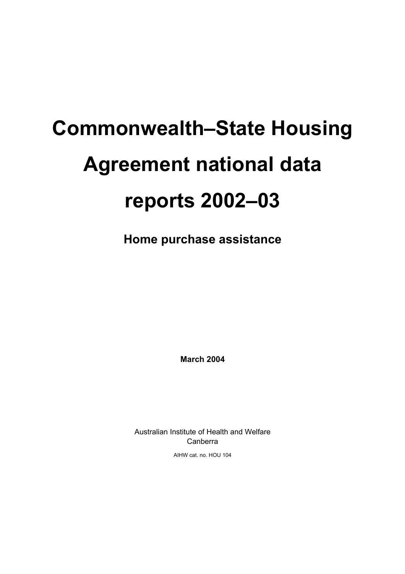# **Commonwealth–State Housing Agreement national data reports 2002–03**

**Home purchase assistance**

**March 2004** 

Australian Institute of Health and Welfare Canberra

AIHW cat. no. HOU 104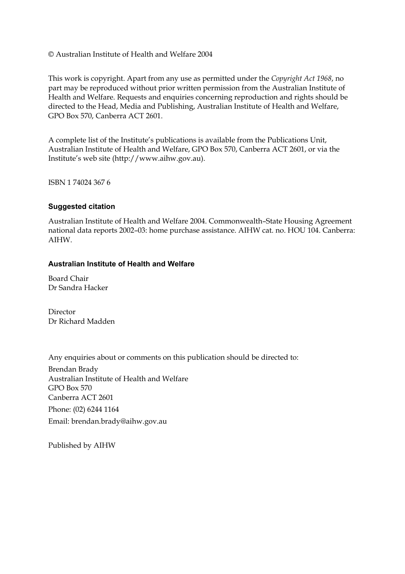#### © Australian Institute of Health and Welfare 2004

This work is copyright. Apart from any use as permitted under the *Copyright Act 1968*, no part may be reproduced without prior written permission from the Australian Institute of Health and Welfare. Requests and enquiries concerning reproduction and rights should be directed to the Head, Media and Publishing, Australian Institute of Health and Welfare, GPO Box 570, Canberra ACT 2601.

A complete list of the Institute's publications is available from the Publications Unit, Australian Institute of Health and Welfare, GPO Box 570, Canberra ACT 2601, or via the Institute's web site (http://www.aihw.gov.au).

ISBN 1 74024 367 6

#### **Suggested citation**

Australian Institute of Health and Welfare 2004. Commonwealth–State Housing Agreement national data reports 2002–03: home purchase assistance. AIHW cat. no. HOU 104. Canberra: AIHW.

#### **Australian Institute of Health and Welfare**

Board Chair Dr Sandra Hacker

Director Dr Richard Madden

Any enquiries about or comments on this publication should be directed to:

Brendan Brady Australian Institute of Health and Welfare GPO Box 570 Canberra ACT 2601 Phone: (02) 6244 1164 Email: brendan.brady@aihw.gov.au

Published by AIHW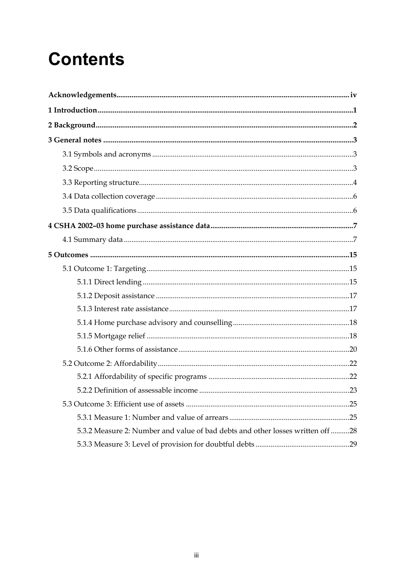# **Contents**

| 5.3.2 Measure 2: Number and value of bad debts and other losses written off 28 |  |
|--------------------------------------------------------------------------------|--|
|                                                                                |  |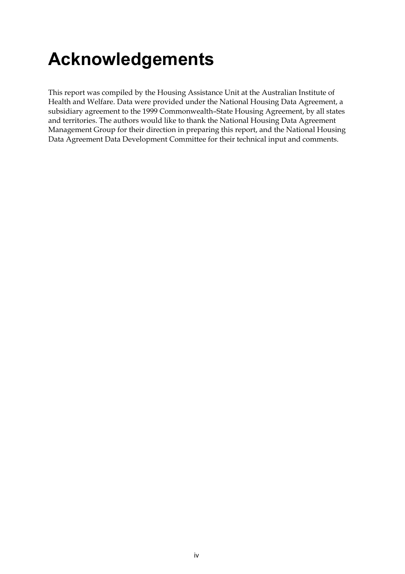# **Acknowledgements**

This report was compiled by the Housing Assistance Unit at the Australian Institute of Health and Welfare. Data were provided under the National Housing Data Agreement, a subsidiary agreement to the 1999 Commonwealth–State Housing Agreement, by all states and territories. The authors would like to thank the National Housing Data Agreement Management Group for their direction in preparing this report, and the National Housing Data Agreement Data Development Committee for their technical input and comments.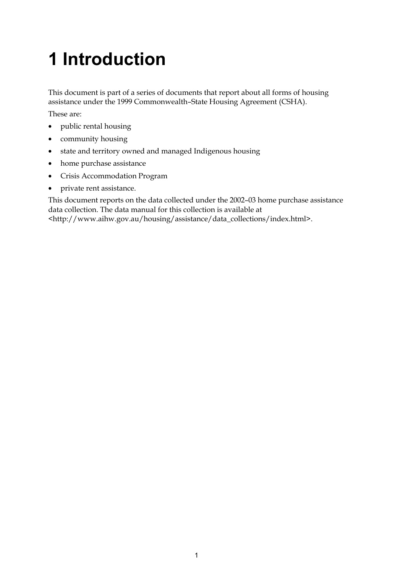# **1 Introduction**

This document is part of a series of documents that report about all forms of housing assistance under the 1999 Commonwealth–State Housing Agreement (CSHA).

These are:

- public rental housing
- community housing
- state and territory owned and managed Indigenous housing
- home purchase assistance
- Crisis Accommodation Program
- private rent assistance.

This document reports on the data collected under the 2002–03 home purchase assistance data collection. The data manual for this collection is available at <http://www.aihw.gov.au/housing/assistance/data\_collections/index.html>.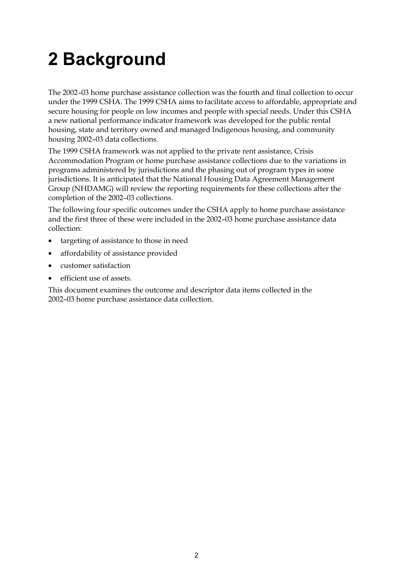# **2 Background**

The 2002–03 home purchase assistance collection was the fourth and final collection to occur under the 1999 CSHA. The 1999 CSHA aims to facilitate access to affordable, appropriate and secure housing for people on low incomes and people with special needs. Under this CSHA a new national performance indicator framework was developed for the public rental housing, state and territory owned and managed Indigenous housing, and community housing 2002–03 data collections.

The 1999 CSHA framework was not applied to the private rent assistance, Crisis Accommodation Program or home purchase assistance collections due to the variations in programs administered by jurisdictions and the phasing out of program types in some jurisdictions. It is anticipated that the National Housing Data Agreement Management Group (NHDAMG) will review the reporting requirements for these collections after the completion of the 2002–03 collections.

The following four specific outcomes under the CSHA apply to home purchase assistance and the first three of these were included in the 2002–03 home purchase assistance data collection:

- targeting of assistance to those in need
- affordability of assistance provided
- customer satisfaction
- efficient use of assets.

This document examines the outcome and descriptor data items collected in the 2002–03 home purchase assistance data collection.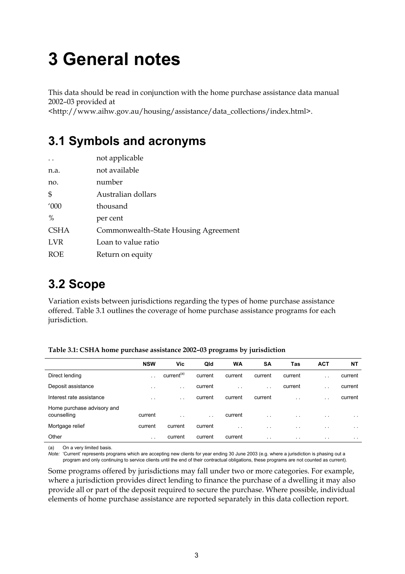# **3 General notes**

This data should be read in conjunction with the home purchase assistance data manual 2002–03 provided at

<http://www.aihw.gov.au/housing/assistance/data\_collections/index.html>.

# **3.1 Symbols and acronyms**

| not applicable                       |
|--------------------------------------|
| not available                        |
| number                               |
| Australian dollars                   |
| thousand                             |
| per cent                             |
| Commonwealth-State Housing Agreement |
| Loan to value ratio                  |
| Return on equity                     |
|                                      |

# **3.2 Scope**

Variation exists between jurisdictions regarding the types of home purchase assistance offered. Table 3.1 outlines the coverage of home purchase assistance programs for each jurisdiction.

|                                           | <b>NSW</b>           | Vic                    | Qld     | <b>WA</b>            | <b>SA</b>     | Tas                  | <b>ACT</b>           | NΤ            |
|-------------------------------------------|----------------------|------------------------|---------|----------------------|---------------|----------------------|----------------------|---------------|
| Direct lending                            | . .                  | current <sup>(a)</sup> | current | current              | current       | current              | $\ddot{\phantom{0}}$ | current       |
| Deposit assistance                        | $\cdot$ .            | $\ddot{\phantom{0}}$   | current | $\ddot{\phantom{0}}$ | $\sim$        | current              | $\sim$               | current       |
| Interest rate assistance                  | $\ddot{\phantom{0}}$ | $\ddot{\phantom{1}}$   | current | current              | current       | $\ddot{\phantom{0}}$ | $\ddot{\phantom{0}}$ | current       |
| Home purchase advisory and<br>counselling | current              | $\cdot$ .              | $\sim$  | current              | $\sim$ $\sim$ | $\cdot$ $\cdot$      | $\sim$ $\sim$        | $\sim$ $\sim$ |
| Mortgage relief                           | current              | current                | current | $\cdot$ $\cdot$      | $\sim$        | $\sim$               | $\sim$ $\sim$        | $\sim$ $\sim$ |
| Other                                     | $\ddot{\phantom{0}}$ | current                | current | current              | $\sim$        | $\sim$ $\sim$        | $\sim$ $\sim$        | $\sim$ $\sim$ |

**Table 3.1: CSHA home purchase assistance 2002–03 programs by jurisdiction** 

(a) On a very limited basis.

*Note:* 'Current' represents programs which are accepting new clients for year ending 30 June 2003 (e.g. where a jurisdiction is phasing out a program and only continuing to service clients until the end of their contractual obligations, these programs are not counted as current).

Some programs offered by jurisdictions may fall under two or more categories. For example, where a jurisdiction provides direct lending to finance the purchase of a dwelling it may also provide all or part of the deposit required to secure the purchase. Where possible, individual elements of home purchase assistance are reported separately in this data collection report.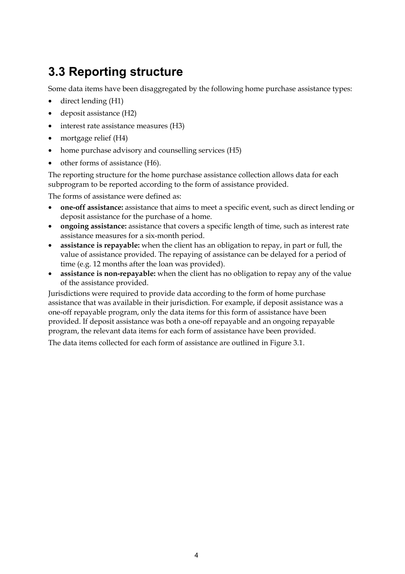# **3.3 Reporting structure**

Some data items have been disaggregated by the following home purchase assistance types:

- direct lending (H1)
- deposit assistance (H2)
- interest rate assistance measures (H3)
- mortgage relief (H4)
- home purchase advisory and counselling services (H5)
- other forms of assistance (H6).

The reporting structure for the home purchase assistance collection allows data for each subprogram to be reported according to the form of assistance provided.

The forms of assistance were defined as:

- **one-off assistance:** assistance that aims to meet a specific event, such as direct lending or deposit assistance for the purchase of a home.
- **ongoing assistance:** assistance that covers a specific length of time, such as interest rate assistance measures for a six-month period.
- **assistance is repayable:** when the client has an obligation to repay, in part or full, the value of assistance provided. The repaying of assistance can be delayed for a period of time (e.g. 12 months after the loan was provided).
- **assistance is non-repayable:** when the client has no obligation to repay any of the value of the assistance provided.

Jurisdictions were required to provide data according to the form of home purchase assistance that was available in their jurisdiction. For example, if deposit assistance was a one-off repayable program, only the data items for this form of assistance have been provided. If deposit assistance was both a one-off repayable and an ongoing repayable program, the relevant data items for each form of assistance have been provided.

The data items collected for each form of assistance are outlined in Figure 3.1.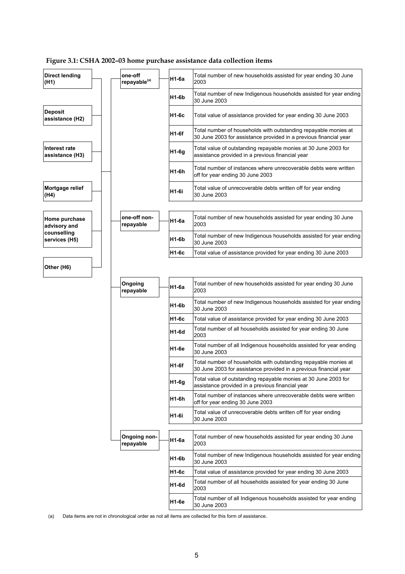### **Figure 3.1: CSHA 2002–03 home purchase assistance data collection items**

| <b>Direct lending</b><br>(H1)     | one-off<br>repayable <sup>(a)</sup> | H1-6a        | Total number of new households assisted for year ending 30 June<br>2003                                                              |
|-----------------------------------|-------------------------------------|--------------|--------------------------------------------------------------------------------------------------------------------------------------|
|                                   |                                     | H1-6b        | Total number of new Indigenous households assisted for year ending<br>30 June 2003                                                   |
| <b>Deposit</b><br>assistance (H2) |                                     | H1-6c        | Total value of assistance provided for year ending 30 June 2003                                                                      |
|                                   |                                     | <b>H1-6f</b> | Total number of households with outstanding repayable monies at<br>30 June 2003 for assistance provided in a previous financial year |
| Interest rate<br>assistance (H3)  |                                     | $H1-6g$      | Total value of outstanding repayable monies at 30 June 2003 for<br>assistance provided in a previous financial year                  |
|                                   |                                     | H1-6h        | Total number of instances where unrecoverable debts were written<br>off for year ending 30 June 2003                                 |
| Mortgage relief<br>(H4)           |                                     | H1-6i        | Total value of unrecoverable debts written off for year ending<br>30 June 2003                                                       |
|                                   |                                     |              |                                                                                                                                      |
| Home purchase<br>advisory and     | one-off non-<br>repayable           | H1-6a        | Total number of new households assisted for year ending 30 June<br>2003                                                              |
| counselling<br>services (H5)      |                                     | H1-6b        | Total number of new Indigenous households assisted for year ending<br>30 June 2003                                                   |
|                                   |                                     | H1-6c        | Total value of assistance provided for year ending 30 June 2003                                                                      |
| Other (H6)                        |                                     |              |                                                                                                                                      |
|                                   | Ongoing<br>repayable                | H1-6a        | Total number of new households assisted for year ending 30 June<br>2003                                                              |
|                                   |                                     | H1-6b        | Total number of new Indigenous households assisted for year ending<br>30 June 2003                                                   |
|                                   |                                     | H1-6c        | Total value of assistance provided for year ending 30 June 2003                                                                      |
|                                   |                                     | H1-6d        | Total number of all households assisted for year ending 30 June<br>2003                                                              |
|                                   |                                     | H1-6e        | Total number of all Indigenous households assisted for year ending<br>30 June 2003                                                   |
|                                   |                                     | H1-6f        | Total number of households with outstanding repayable monies at<br>30 June 2003 for assistance provided in a previous financial year |
|                                   |                                     | $H1-Gg$      | Total value of outstanding repayable monies at 30 June 2003 for<br>assistance provided in a previous financial year                  |
|                                   |                                     | H1-6h        | Total number of instances where unrecoverable debts were written<br>off for year ending 30 June 2003                                 |
|                                   |                                     | H1-6i        | Total value of unrecoverable debts written off for year ending<br>30 June 2003                                                       |
|                                   |                                     |              |                                                                                                                                      |
|                                   | <b>Ongoing non-</b><br>repayable    | H1-6a        | Total number of new households assisted for year ending 30 June<br>2003                                                              |
|                                   |                                     | H1-6b        | Total number of new Indigenous households assisted for year ending<br>30 June 2003                                                   |
|                                   |                                     | H1-6c        | Total value of assistance provided for year ending 30 June 2003                                                                      |
|                                   |                                     | H1-6d        | Total number of all households assisted for year ending 30 June<br>2003                                                              |
|                                   |                                     | H1-6e        | Total number of all Indigenous households assisted for year ending<br>30 June 2003                                                   |

(a) Data items are not in chronological order as not all items are collected for this form of assistance.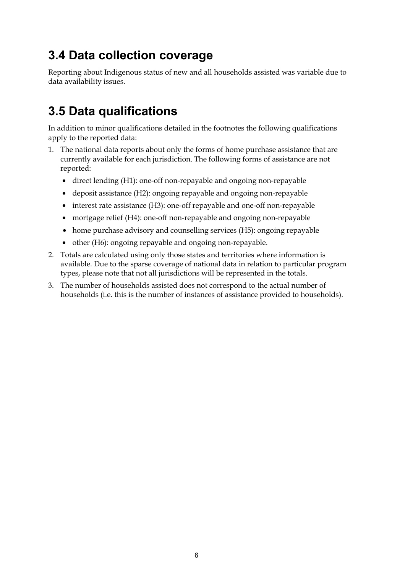# **3.4 Data collection coverage**

Reporting about Indigenous status of new and all households assisted was variable due to data availability issues.

# **3.5 Data qualifications**

In addition to minor qualifications detailed in the footnotes the following qualifications apply to the reported data:

- 1. The national data reports about only the forms of home purchase assistance that are currently available for each jurisdiction. The following forms of assistance are not reported:
	- direct lending (H1): one-off non-repayable and ongoing non-repayable
	- deposit assistance (H2): ongoing repayable and ongoing non-repayable
	- interest rate assistance (H3): one-off repayable and one-off non-repayable
	- mortgage relief (H4): one-off non-repayable and ongoing non-repayable
	- home purchase advisory and counselling services (H5): ongoing repayable
	- other (H6): ongoing repayable and ongoing non-repayable.
- 2. Totals are calculated using only those states and territories where information is available. Due to the sparse coverage of national data in relation to particular program types, please note that not all jurisdictions will be represented in the totals.
- 3. The number of households assisted does not correspond to the actual number of households (i.e. this is the number of instances of assistance provided to households).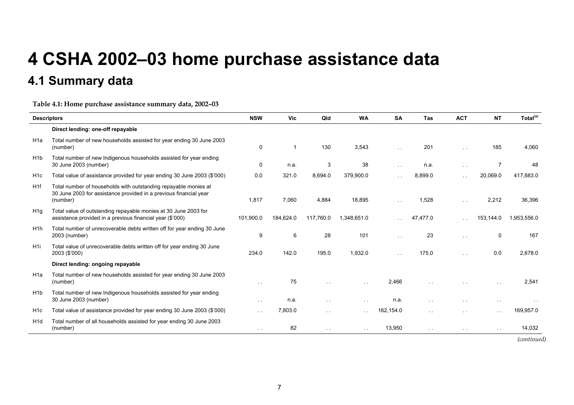# **4 CSHA 2002–03 home purchase assistance data**

# **4.1 Summary data**

**Table 4.1: Home purchase assistance summary data, 2002–03** 

| <b>Descriptors</b> |                                                                                                                                                  | <b>NSW</b>    | Vic       | Qld           | <b>WA</b>     | <b>SA</b>     | <b>Tas</b>    | <b>ACT</b>    | <b>NT</b>     | Total <sup>(a)</sup> |
|--------------------|--------------------------------------------------------------------------------------------------------------------------------------------------|---------------|-----------|---------------|---------------|---------------|---------------|---------------|---------------|----------------------|
|                    | Direct lending: one-off repayable                                                                                                                |               |           |               |               |               |               |               |               |                      |
| H <sub>1</sub> a   | Total number of new households assisted for year ending 30 June 2003<br>(number)                                                                 | $\Omega$      | -1        | 130           | 3,543         | $\sim$ $-$    | 201           | $\sim$ $\sim$ | 185           | 4.060                |
| H <sub>1</sub> b   | Total number of new Indigenous households assisted for year ending<br>30 June 2003 (number)                                                      | $\mathbf 0$   | n.a.      | 3             | 38            | $\sim$ $\sim$ | n.a.          | $\sim$ $\sim$ | 7             | 48                   |
| H <sub>1</sub> c   | Total value of assistance provided for year ending 30 June 2003 (\$'000)                                                                         | 0.0           | 321.0     | 8,694.0       | 379,900.0     |               | 8,899.0       | $\sim$ $\sim$ | 20,069.0      | 417,883.0            |
| H1f                | Total number of households with outstanding repayable monies at<br>30 June 2003 for assistance provided in a previous financial year<br>(number) | 1,817         | 7,060     | 4,884         | 18,895        | $\sim$ $\sim$ | 1,528         | $\sim$ $\sim$ | 2,212         | 36,396               |
| H1q                | Total value of outstanding repayable monies at 30 June 2003 for<br>assistance provided in a previous financial year (\$'000)                     | 101,900.0     | 184,624.0 | 117,760.0     | 1,348,651.0   |               | 47,477.0      |               | 153,144.0     | 1,953,556.0          |
| H <sub>1</sub> h   | Total number of unrecoverable debts written off for year ending 30 June<br>2003 (number)                                                         | 9             | 6         | 28            | 101           | i.            | 23            | $\sim$        | 0             | 167                  |
| H <sub>1</sub>     | Total value of unrecoverable debts written off for year ending 30 June<br>2003 (\$'000)                                                          | 234.0         | 142.0     | 195.0         | 1.932.0       |               | 175.0         | $\sim$        | 0.0           | 2,678.0              |
|                    | Direct lending: ongoing repayable                                                                                                                |               |           |               |               |               |               |               |               |                      |
| H <sub>1</sub> a   | Total number of new households assisted for year ending 30 June 2003<br>(number)                                                                 | $\sim$ $\sim$ | 75        |               | $\sim$ $\sim$ | 2,466         |               |               | $\ddotsc$     | 2,541                |
| H <sub>1</sub> b   | Total number of new Indigenous households assisted for year ending<br>30 June 2003 (number)                                                      | $\sim$ $\sim$ | n.a.      | $\sim$ $\sim$ | $\sim$ $\sim$ | n.a.          | $\ddotsc$     | $\sim$ $\sim$ | $\sim$ $\sim$ |                      |
| H <sub>1</sub> c   | Total value of assistance provided for year ending 30 June 2003 (\$'000)                                                                         | $\sim$ $\sim$ | 7.803.0   | $\sim$ $\sim$ | $\sim$ $\sim$ | 162,154.0     | $\ddotsc$     | $\ddotsc$     | $\sim$ $\sim$ | 169,957.0            |
| H <sub>1</sub> d   | Total number of all households assisted for year ending 30 June 2003<br>(number)                                                                 | $\sim$ $\sim$ | 82        | $\sim$ $\sim$ | $\sim 100$    | 13,950        | $\sim$ $\sim$ | $\sim$ $\sim$ | $\sim$ $\sim$ | 14,032               |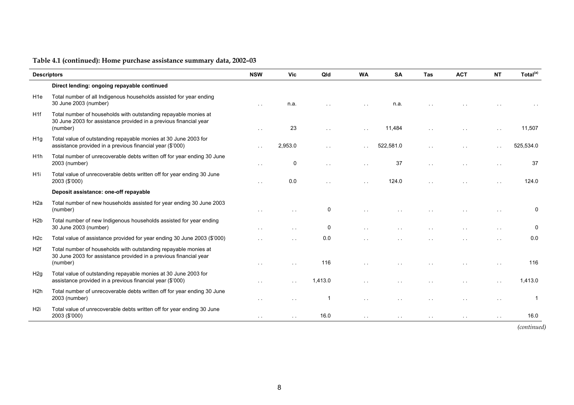|                  | <b>Descriptors</b>                                                                                                                               | <b>NSW</b>    | <b>Vic</b>    | Qld                     | <b>WA</b>            | <b>SA</b>            | <b>Tas</b> | <b>ACT</b> | <b>NT</b> | Total <sup>(a)</sup> |
|------------------|--------------------------------------------------------------------------------------------------------------------------------------------------|---------------|---------------|-------------------------|----------------------|----------------------|------------|------------|-----------|----------------------|
|                  | Direct lending: ongoing repayable continued                                                                                                      |               |               |                         |                      |                      |            |            |           |                      |
| H <sub>1e</sub>  | Total number of all Indigenous households assisted for year ending<br>30 June 2003 (number)                                                      | $\sim$        | n.a.          |                         |                      | n.a.                 |            |            |           |                      |
| H1f              | Total number of households with outstanding repayable monies at<br>30 June 2003 for assistance provided in a previous financial year<br>(number) |               | 23            |                         |                      | 11,484               |            |            |           | 11,507               |
| H1q              | Total value of outstanding repayable monies at 30 June 2003 for<br>assistance provided in a previous financial year (\$'000)                     | $\sim$        | 2.953.0       | $\ddot{\phantom{0}}$    | $\sim$ $\sim$        | 522.581.0            |            |            |           | 525.534.0            |
| H <sub>1</sub> h | Total number of unrecoverable debts written off for year ending 30 June<br>2003 (number)                                                         | $\sim$ $\sim$ | $\mathbf 0$   |                         | $\ddot{\phantom{a}}$ | 37                   |            |            |           | 37                   |
| H <sub>1</sub>   | Total value of unrecoverable debts written off for year ending 30 June<br>2003 (\$'000)                                                          | $\sim$ $\sim$ | 0.0           | $\ddotsc$               | $\sim$ $\sim$        | 124.0                |            |            |           | 124.0                |
|                  | Deposit assistance: one-off repayable                                                                                                            |               |               |                         |                      |                      |            |            |           |                      |
| H <sub>2a</sub>  | Total number of new households assisted for year ending 30 June 2003<br>(number)                                                                 |               |               | 0                       |                      |                      |            |            |           | $\mathbf 0$          |
| H2b              | Total number of new Indigenous households assisted for year ending<br>30 June 2003 (number)                                                      |               |               | 0                       |                      |                      |            |            |           | 0                    |
| H <sub>2c</sub>  | Total value of assistance provided for year ending 30 June 2003 (\$'000)                                                                         |               | $\sim$ $\sim$ | 0.0                     |                      |                      |            |            |           | 0.0                  |
| H2f              | Total number of households with outstanding repayable monies at<br>30 June 2003 for assistance provided in a previous financial year<br>(number) | $\sim$        | $\sim$        | 116                     | $\sim$ $\sim$        |                      |            |            |           | 116                  |
| H <sub>2g</sub>  | Total value of outstanding repayable monies at 30 June 2003 for<br>assistance provided in a previous financial year (\$'000)                     |               | $\ddotsc$     | 1.413.0                 |                      |                      |            |            |           | 1.413.0              |
| H <sub>2h</sub>  | Total number of unrecoverable debts written off for year ending 30 June<br>2003 (number)                                                         | $\sim$        | $\sim$ $\sim$ | $\overline{\mathbf{1}}$ | $\ddotsc$            | $\ddot{\phantom{0}}$ |            |            |           |                      |
| H <sub>2i</sub>  | Total value of unrecoverable debts written off for year ending 30 June<br>2003 (\$'000)                                                          |               | $\sim$ $\sim$ | 16.0                    | $\sim$ $\sim$        |                      |            |            |           | 16.0                 |
|                  |                                                                                                                                                  |               |               |                         |                      |                      |            |            |           | (continued)          |

8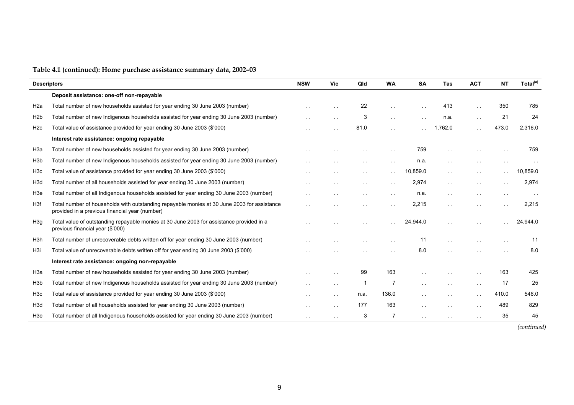| <b>Descriptors</b> |                                                                                                                                               | <b>NSW</b>             | <b>Vic</b>    | Qld           | <b>WA</b>       | <b>SA</b>            | <b>Tas</b>           | <b>ACT</b>           | <b>NT</b>     | Total <sup>(a)</sup> |
|--------------------|-----------------------------------------------------------------------------------------------------------------------------------------------|------------------------|---------------|---------------|-----------------|----------------------|----------------------|----------------------|---------------|----------------------|
|                    | Deposit assistance: one-off non-repayable                                                                                                     |                        |               |               |                 |                      |                      |                      |               |                      |
| H <sub>2</sub> a   | Total number of new households assisted for year ending 30 June 2003 (number)                                                                 |                        |               | 22            |                 |                      | 413                  |                      | 350           | 785                  |
| H <sub>2</sub> b   | Total number of new Indigenous households assisted for year ending 30 June 2003 (number)                                                      | $\cdot$ .              |               | 3             | $\sim 10$       | $\sim$ $\sim$        | n.a.                 | $\sim$ $\sim$        | 21            | 24                   |
| H <sub>2c</sub>    | Total value of assistance provided for year ending 30 June 2003 (\$'000)                                                                      |                        |               | 81.0          | $\sim$          |                      | .762.0               |                      | 473.0         | 2,316.0              |
|                    | Interest rate assistance: ongoing repayable                                                                                                   |                        |               |               |                 |                      |                      |                      |               |                      |
| H3a                | Total number of new households assisted for year ending 30 June 2003 (number)                                                                 |                        |               |               | $\sim$ 10 $\pm$ | 759                  | $\ddot{\phantom{1}}$ |                      |               | 759                  |
| H <sub>3</sub> b   | Total number of new Indigenous households assisted for year ending 30 June 2003 (number)                                                      |                        |               |               | $\sim$ $\sim$   | n.a.                 | $\sim$ $\sim$        |                      |               |                      |
| H <sub>3</sub> c   | Total value of assistance provided for year ending 30 June 2003 (\$'000)                                                                      | $\ddot{\phantom{0}}$   |               |               | $\sim$ 10 $\pm$ | 10,859.0             | $\sim 100$           | $\sim$ $\sim$        | $\sim$        | 10.859.0             |
| H <sub>3</sub> d   | Total number of all households assisted for year ending 30 June 2003 (number)                                                                 | $\ddot{\phantom{1}}$ . |               |               | $\sim$ $\sim$   | 2,974                | $\sim 100$           | $\sim$ $\sim$        | $\sim$ $\sim$ | 2,974                |
| H3e                | Total number of all Indigenous households assisted for year ending 30 June 2003 (number)                                                      | $\sim$ $\sim$          |               | $\sim$ $\sim$ | $\sim$ $\sim$   | n.a.                 | $\sim$ $\sim$        | $\sim$ $\sim$        | $\sim$ $\sim$ |                      |
| H <sub>3f</sub>    | Total number of households with outstanding repayable monies at 30 June 2003 for assistance<br>provided in a previous financial year (number) |                        |               |               |                 | 2,215                | $\sim$               |                      |               | 2,215                |
| H3g                | Total value of outstanding repayable monies at 30 June 2003 for assistance provided in a<br>previous financial year (\$'000)                  |                        |               |               |                 | 24,944.0             |                      |                      |               | 24,944.0             |
| H <sub>3</sub> h   | Total number of unrecoverable debts written off for year ending 30 June 2003 (number)                                                         |                        |               |               | $\sim$ $-$      | 11                   | $\sim$ $\sim$        | $\sim$ $-$           | $\sim$ $\sim$ | 11                   |
| H <sub>3</sub> i   | Total value of unrecoverable debts written off for year ending 30 June 2003 (\$'000)                                                          |                        |               |               |                 | 8.0                  |                      |                      |               | 8.0                  |
|                    | Interest rate assistance: ongoing non-repayable                                                                                               |                        |               |               |                 |                      |                      |                      |               |                      |
| H3a                | Total number of new households assisted for year ending 30 June 2003 (number)                                                                 |                        |               | 99            | 163             | $\ddot{\phantom{a}}$ |                      | $\ddot{\phantom{1}}$ | 163           | 425                  |
| H <sub>3</sub> b   | Total number of new Indigenous households assisted for year ending 30 June 2003 (number)                                                      | $\sim$ $\sim$          | $\sim$ $\sim$ |               | 7               | $\sim$ $\sim$        | $\sim$ $\sim$        | $\sim$ $-$           | -17           | 25                   |
| H <sub>3</sub> c   | Total value of assistance provided for year ending 30 June 2003 (\$'000)                                                                      |                        | $\sim$ $-$    | n.a.          | 136.0           | $\ddot{\phantom{0}}$ |                      | $\ddotsc$            | 410.0         | 546.0                |
| H <sub>3</sub> d   | Total number of all households assisted for year ending 30 June 2003 (number)                                                                 | $\sim$ $\sim$          | $\sim$ $\sim$ | 177           | 163             | $\sim$ $\sim$        | $\sim$               | $\sim$ $\sim$        | 489           | 829                  |
| H <sub>3</sub> e   | Total number of all Indigenous households assisted for year ending 30 June 2003 (number)                                                      | $\sim$ $\sim$          |               | 3             | 7               |                      |                      |                      | 35            | 45                   |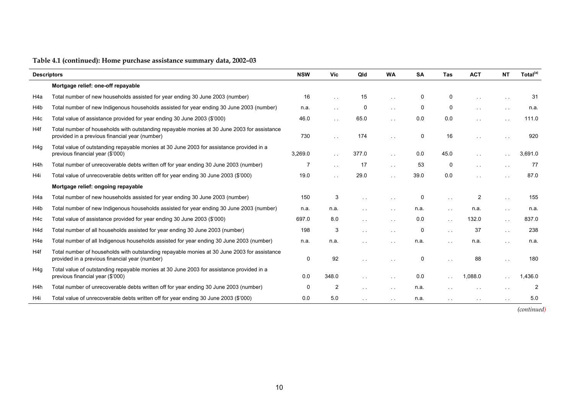| <b>Descriptors</b> |                                                                                                                                               | <b>NSW</b>  | <b>Vic</b>           | Qld           | <b>WA</b>            | <b>SA</b>   | <b>Tas</b>      | <b>ACT</b>     | <b>NT</b>            | Total <sup>(a)</sup> |
|--------------------|-----------------------------------------------------------------------------------------------------------------------------------------------|-------------|----------------------|---------------|----------------------|-------------|-----------------|----------------|----------------------|----------------------|
|                    | Mortgage relief: one-off repayable                                                                                                            |             |                      |               |                      |             |                 |                |                      |                      |
| H4a                | Total number of new households assisted for year ending 30 June 2003 (number)                                                                 | 16          |                      | 15            | i.                   | 0           | 0               | $\sim$ $\sim$  | $\sim$ $\sim$        | 31                   |
| H4b                | Total number of new Indigenous households assisted for year ending 30 June 2003 (number)                                                      | n.a.        | $\sim$ $\sim$        | 0             | $\sim 10$            | 0           | 0               | $\sim$ $\sim$  | $\sim$ $\sim$        | n.a.                 |
| H4c                | Total value of assistance provided for year ending 30 June 2003 (\$'000)                                                                      | 46.0        | $\sim$ $\sim$        | 65.0          | $\sim 10$            | 0.0         | 0.0             | $\sim$ $\sim$  | $\sim$ $\sim$        | 111.0                |
| H <sub>4f</sub>    | Total number of households with outstanding repayable monies at 30 June 2003 for assistance<br>provided in a previous financial year (number) | 730         | $\sim$ $\sim$        | 174           | $\ddot{\phantom{1}}$ | 0           | 16              | $\ddotsc$      |                      | 920                  |
| H4g                | Total value of outstanding repayable monies at 30 June 2003 for assistance provided in a<br>previous financial year (\$'000)                  | 3,269.0     |                      | 377.0         | $\ddotsc$            | 0.0         | 45.0            | $\sim$         |                      | 3.691.0              |
| H <sub>4</sub> h   | Total number of unrecoverable debts written off for year ending 30 June 2003 (number)                                                         | 7           | $\sim$ $\sim$        | 17            | $\sim$ $\sim$        | 53          | $\mathbf 0$     | $\sim$ $\sim$  | $\sim$ $\sim$        | 77                   |
| H4i                | Total value of unrecoverable debts written off for year ending 30 June 2003 (\$'000)                                                          | 19.0        | $\ddot{\phantom{0}}$ | 29.0          | $\sim$               | 39.0        | 0.0             | $\sim$         |                      | 87.0                 |
|                    | Mortgage relief: ongoing repayable                                                                                                            |             |                      |               |                      |             |                 |                |                      |                      |
| H4a                | Total number of new households assisted for year ending 30 June 2003 (number)                                                                 | 150         | 3                    |               |                      | 0           | $\sim$          | $\overline{2}$ | $\sim$ $\sim$        | 155                  |
| H <sub>4</sub> b   | Total number of new Indigenous households assisted for year ending 30 June 2003 (number)                                                      | n.a.        | n.a.                 |               | $\ddotsc$            | n.a.        | $\sim$ 10 $\pm$ | n.a.           | $\sim$ $\sim$        | n.a.                 |
| H <sub>4</sub> c   | Total value of assistance provided for year ending 30 June 2003 (\$'000)                                                                      | 697.0       | 8.0                  | $\sim$        |                      | 0.0         | $\mathbf{r}$    | 132.0          | $\sim$ $\sim$        | 837.0                |
| H <sub>4</sub> d   | Total number of all households assisted for year ending 30 June 2003 (number)                                                                 | 198         | 3                    |               | $\sim$ $\sim$        | 0           | $\sim$ $\sim$   | 37             | $\sim$ $\sim$        | 238                  |
| H <sub>4e</sub>    | Total number of all Indigenous households assisted for year ending 30 June 2003 (number)                                                      | n.a.        | n.a.                 |               |                      | n.a.        | $\sim$ 10 $\pm$ | n.a.           | $\sim$ $\sim$        | n.a.                 |
| H4f                | Total number of households with outstanding repayable monies at 30 June 2003 for assistance<br>provided in a previous financial year (number) | $\mathbf 0$ | 92                   |               |                      | $\mathbf 0$ |                 | 88             |                      | 180                  |
| H4g                | Total value of outstanding repayable monies at 30 June 2003 for assistance provided in a<br>previous financial year (\$'000)                  | 0.0         | 348.0                |               | $\sim$ $\sim$        | 0.0         |                 | 1.088.0        |                      | .436.0               |
| H <sub>4</sub> h   | Total number of unrecoverable debts written off for year ending 30 June 2003 (number)                                                         | 0           | 2                    | $\sim$ $\sim$ | $\sim 10$            | n.a.        | $\sim$ $\sim$   | $\sim$ $\sim$  | $\ddot{\phantom{0}}$ | 2                    |
| H4i                | Total value of unrecoverable debts written off for year ending 30 June 2003 (\$'000)                                                          | 0.0         | 5.0                  |               | $\sim$ $\sim$        | n.a.        | $\sim$ $\sim$   | $\sim$ $-$     | $\sim$ $\sim$        | 5.0                  |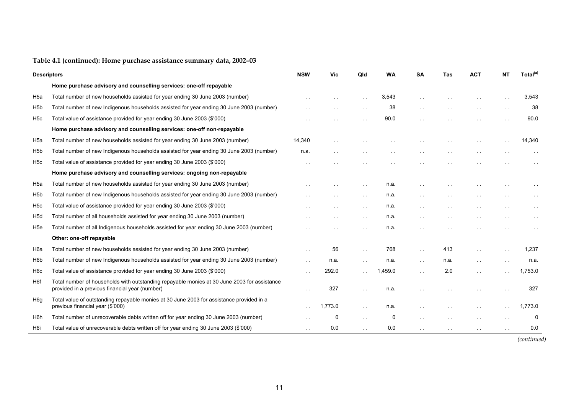| <b>Descriptors</b> |                                                                                                                                               | <b>NSW</b>           | <b>Vic</b> | Qld                  | <b>WA</b> | <b>SA</b>     | <b>Tas</b> | <b>ACT</b>           | <b>NT</b>            | Total <sup>(a)</sup> |
|--------------------|-----------------------------------------------------------------------------------------------------------------------------------------------|----------------------|------------|----------------------|-----------|---------------|------------|----------------------|----------------------|----------------------|
|                    | Home purchase advisory and counselling services: one-off repayable                                                                            |                      |            |                      |           |               |            |                      |                      |                      |
| H <sub>5a</sub>    | Total number of new households assisted for year ending 30 June 2003 (number)                                                                 |                      |            |                      | 3,543     |               |            |                      |                      | 3,543                |
| H <sub>5</sub> b   | Total number of new Indigenous households assisted for year ending 30 June 2003 (number)                                                      |                      |            |                      | 38        | $\sim$ $\sim$ |            |                      | $\sim$ $\sim$        | 38                   |
| H <sub>5c</sub>    | Total value of assistance provided for year ending 30 June 2003 (\$'000)                                                                      | $\sim$ .             |            |                      | 90.0      |               |            | $\ddot{\phantom{1}}$ |                      | 90.0                 |
|                    | Home purchase advisory and counselling services: one-off non-repayable                                                                        |                      |            |                      |           |               |            |                      |                      |                      |
| H <sub>5a</sub>    | Total number of new households assisted for year ending 30 June 2003 (number)                                                                 | 14,340               |            |                      |           |               |            |                      |                      | 14,340               |
| H <sub>5</sub> b   | Total number of new Indigenous households assisted for year ending 30 June 2003 (number)                                                      | n.a.                 |            |                      |           |               |            |                      |                      |                      |
| H <sub>5</sub> c   | Total value of assistance provided for year ending 30 June 2003 (\$'000)                                                                      | $\sim$ .             |            |                      |           |               |            |                      |                      |                      |
|                    | Home purchase advisory and counselling services: ongoing non-repayable                                                                        |                      |            |                      |           |               |            |                      |                      |                      |
| H <sub>5a</sub>    | Total number of new households assisted for year ending 30 June 2003 (number)                                                                 |                      |            | $\sim$               | n.a.      |               |            |                      |                      |                      |
| H <sub>5</sub> b   | Total number of new Indigenous households assisted for year ending 30 June 2003 (number)                                                      |                      |            |                      | n.a.      |               |            |                      |                      |                      |
| H <sub>5c</sub>    | Total value of assistance provided for year ending 30 June 2003 (\$'000)                                                                      |                      |            |                      | n.a.      | $\ddotsc$     |            |                      |                      |                      |
| H <sub>5d</sub>    | Total number of all households assisted for year ending 30 June 2003 (number)                                                                 | $\ddot{\phantom{1}}$ |            | $\ddot{\phantom{0}}$ | n.a.      | $\sim$        |            | $\sim$ $\sim$        | $\sim$ $\sim$        |                      |
| H <sub>5e</sub>    | Total number of all Indigenous households assisted for year ending 30 June 2003 (number)                                                      |                      |            |                      | n.a.      |               |            |                      |                      |                      |
|                    | Other: one-off repayable                                                                                                                      |                      |            |                      |           |               |            |                      |                      |                      |
| H6a                | Total number of new households assisted for year ending 30 June 2003 (number)                                                                 |                      | 56         |                      | 768       |               | 413        |                      |                      | 1,237                |
| H <sub>6</sub> p   | Total number of new Indigenous households assisted for year ending 30 June 2003 (number)                                                      | $\sim$ $\sim$        | n.a.       | $\sim$ $\sim$        | n.a.      | $\sim$ $\sim$ | n.a.       | $\sim$ $\sim$        | $\ddot{\phantom{1}}$ | n.a.                 |
| H <sub>6</sub> c   | Total value of assistance provided for year ending 30 June 2003 (\$'000)                                                                      | $\ddot{\phantom{1}}$ | 292.0      |                      | 1,459.0   | $\sim$ $\sim$ | 2.0        | $\sim$ $\sim$        |                      | 1,753.0              |
| H6f                | Total number of households with outstanding repayable monies at 30 June 2003 for assistance<br>provided in a previous financial year (number) | $\sim$ $\sim$        | 327        | $\sim$ $\sim$        | n.a.      |               |            | $\ddot{\phantom{1}}$ |                      | 327                  |
| H <sub>6g</sub>    | Total value of outstanding repayable monies at 30 June 2003 for assistance provided in a<br>previous financial year (\$'000)                  |                      | 1,773.0    | $\sim$ $\sim$        | n.a.      |               |            | $\ddot{\phantom{1}}$ |                      | 1,773.0              |
| H <sub>6</sub> h   | Total number of unrecoverable debts written off for year ending 30 June 2003 (number)                                                         |                      | 0          |                      | 0         | $\ddotsc$     |            | $\ddot{\phantom{1}}$ |                      | 0                    |
| H <sub>6i</sub>    | Total value of unrecoverable debts written off for year ending 30 June 2003 (\$'000)                                                          | $\ddot{\phantom{a}}$ | 0.0        |                      | 0.0       | $\sim$ $\sim$ | $\sim$     | $\sim$ $\sim$        |                      | 0.0                  |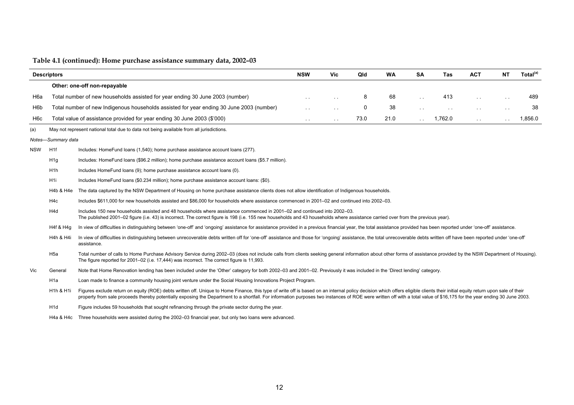|                  | <b>Descriptors</b>                                                                                                                                                                    |                                                                                                                                                                                                                                                                                                                                                                                                                                                          | <b>NSW</b>    | Vic                  | Qld | <b>WA</b> | <b>SA</b>            | <b>Tas</b>    | <b>ACT</b>    | <b>NT</b>     | Total <sup>(a)</sup> |
|------------------|---------------------------------------------------------------------------------------------------------------------------------------------------------------------------------------|----------------------------------------------------------------------------------------------------------------------------------------------------------------------------------------------------------------------------------------------------------------------------------------------------------------------------------------------------------------------------------------------------------------------------------------------------------|---------------|----------------------|-----|-----------|----------------------|---------------|---------------|---------------|----------------------|
|                  |                                                                                                                                                                                       | Other: one-off non-repayable                                                                                                                                                                                                                                                                                                                                                                                                                             |               |                      |     |           |                      |               |               |               |                      |
| H <sub>6</sub> a |                                                                                                                                                                                       | Total number of new households assisted for year ending 30 June 2003 (number)                                                                                                                                                                                                                                                                                                                                                                            |               | $\ddot{\phantom{0}}$ | 8   | 68        | $\ddot{\phantom{a}}$ | 413           | $\sim$ $\sim$ | $\sim$ $\sim$ | 489                  |
| H <sub>6</sub> b |                                                                                                                                                                                       | Total number of new Indigenous households assisted for year ending 30 June 2003 (number)                                                                                                                                                                                                                                                                                                                                                                 | $\sim$ $\sim$ | $\ddot{\phantom{1}}$ | 0   | 38        | $\sim$ $\sim$        | $\sim$ $\sim$ | $\sim$ $\sim$ | $\sim$ $\sim$ | 38                   |
| H <sub>6</sub> c | 21.0<br>1.762.0<br>Total value of assistance provided for year ending 30 June 2003 (\$'000)<br>73.0<br>$\mathbf{r}$<br>$\sim 10$<br>$\sim$ 10 $\pm$<br>$\sim$ $\sim$<br>$\sim$ $\sim$ |                                                                                                                                                                                                                                                                                                                                                                                                                                                          |               |                      |     |           |                      |               |               | 1,856.0       |                      |
| (a)              |                                                                                                                                                                                       | May not represent national total due to data not being available from all jurisdictions.                                                                                                                                                                                                                                                                                                                                                                 |               |                      |     |           |                      |               |               |               |                      |
|                  | Notes-Summary data                                                                                                                                                                    |                                                                                                                                                                                                                                                                                                                                                                                                                                                          |               |                      |     |           |                      |               |               |               |                      |
| <b>NSW</b>       | H <sub>1f</sub>                                                                                                                                                                       | Includes: HomeFund loans (1,540); home purchase assistance account loans (277).                                                                                                                                                                                                                                                                                                                                                                          |               |                      |     |           |                      |               |               |               |                      |
|                  | H <sub>1g</sub>                                                                                                                                                                       | Includes: HomeFund loans (\$96.2 million); home purchase assistance account loans (\$5.7 million).                                                                                                                                                                                                                                                                                                                                                       |               |                      |     |           |                      |               |               |               |                      |
|                  | H <sub>1</sub> h                                                                                                                                                                      | Includes HomeFund loans (9); home purchase assistance account loans (0).                                                                                                                                                                                                                                                                                                                                                                                 |               |                      |     |           |                      |               |               |               |                      |
|                  | H <sub>1</sub>                                                                                                                                                                        | Includes HomeFund loans (\$0.234 million); home purchase assistance account loans: (\$0).                                                                                                                                                                                                                                                                                                                                                                |               |                      |     |           |                      |               |               |               |                      |
|                  | H4b & H4e                                                                                                                                                                             | The data captured by the NSW Department of Housing on home purchase assistance clients does not allow identification of Indigenous households.                                                                                                                                                                                                                                                                                                           |               |                      |     |           |                      |               |               |               |                      |
|                  | H <sub>4</sub> c                                                                                                                                                                      | Includes \$611,000 for new households assisted and \$86,000 for households where assistance commenced in 2001-02 and continued into 2002-03.                                                                                                                                                                                                                                                                                                             |               |                      |     |           |                      |               |               |               |                      |
|                  | H <sub>4</sub> d                                                                                                                                                                      | Includes 150 new households assisted and 48 households where assistance commenced in 2001–02 and continued into 2002–03.<br>The published 2001–02 figure (i.e. 43) is incorrect. The correct figure is 198 (i.e. 155 new households and 43 households where assistance carried over from the previous year).                                                                                                                                             |               |                      |     |           |                      |               |               |               |                      |
|                  | H4f & H4g                                                                                                                                                                             | In view of difficulties in distinguishing between 'one-off' and 'ongoing' assistance for assistance provided in a previous financial year, the total assistance provided has been reported under 'one-off' assistance.                                                                                                                                                                                                                                   |               |                      |     |           |                      |               |               |               |                      |
|                  | H4h & H4i                                                                                                                                                                             | In view of difficulties in distinguishing between unrecoverable debts written off for 'one-off' assistance and those for 'ongoing' assistance, the total unrecoverable debts written off have been reported under 'one-off'<br>assistance.                                                                                                                                                                                                               |               |                      |     |           |                      |               |               |               |                      |
|                  | H <sub>5a</sub>                                                                                                                                                                       | Total number of calls to Home Purchase Advisory Service during 2002-03 (does not include calls from clients seeking general information about other forms of assistance provided by the NSW Department of Housing).<br>The figure reported for 2001–02 (i.e. 17,444) was incorrect. The correct figure is 11,993.                                                                                                                                        |               |                      |     |           |                      |               |               |               |                      |
| Vic              | General                                                                                                                                                                               | Note that Home Renovation lending has been included under the 'Other' category for both 2002-03 and 2001-02. Previously it was included in the 'Direct lending' category.                                                                                                                                                                                                                                                                                |               |                      |     |           |                      |               |               |               |                      |
|                  | H <sub>1</sub> a                                                                                                                                                                      | Loan made to finance a community housing joint venture under the Social Housing Innovations Project Program.                                                                                                                                                                                                                                                                                                                                             |               |                      |     |           |                      |               |               |               |                      |
|                  | H <sub>1</sub> h & H <sub>1i</sub>                                                                                                                                                    | Figures exclude return on equity (ROE) debts written off. Unique to Home Finance, this type of write off is based on an internal policy decision which offers eligible clients their initial equity return upon sale of their<br>property from sale proceeds thereby potentially exposing the Department to a shortfall. For information purposes two instances of ROE were written off with a total value of \$16,175 for the year ending 30 June 2003. |               |                      |     |           |                      |               |               |               |                      |
|                  | H <sub>1</sub> d                                                                                                                                                                      | Figure includes 59 households that sought refinancing through the private sector during the year.                                                                                                                                                                                                                                                                                                                                                        |               |                      |     |           |                      |               |               |               |                      |
|                  |                                                                                                                                                                                       | H4a & H4c Three households were assisted during the 2002–03 financial year, but only two loans were advanced.                                                                                                                                                                                                                                                                                                                                            |               |                      |     |           |                      |               |               |               |                      |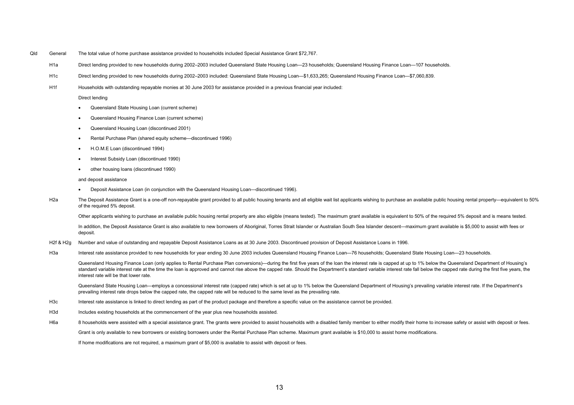Qld General The total value of home purchase assistance provided to households included Special Assistance Grant \$72,767.

H1a Direct lending provided to new households during 2002–2003 included Queensland State Housing Loan—23 households; Queensland Housing Finance Loan—107 households.

- H1c Direct lending provided to new households during 2002–2003 included: Queensland State Housing Loan—\$1,633,265; Queensland Housing Finance Loan—\$7,060,839.
- H1f Households with outstanding repayable monies at 30 June 2003 for assistance provided in a previous financial year included:

Direct lending

- Queensland State Housing Loan (current scheme)
- Queensland Housing Finance Loan (current scheme)
- Queensland Housing Loan (discontinued 2001)
- Rental Purchase Plan (shared equity scheme—discontinued 1996)
- H.O.M.E Loan (discontinued 1994)
- Interest Subsidy Loan (discontinued 1990)
- other housing loans (discontinued 1990)

and deposit assistance

- Deposit Assistance Loan (in conjunction with the Queensland Housing Loan—discontinued 1996).
- H2a The Deposit Assistance Grant is a one-off non-repayable grant provided to all public housing tenants and all eligible wait list applicants wishing to purchase an available public housing rental property—equivalent to 5 of the required 5% deposit.

Other applicants wishing to purchase an available public housing rental property are also eligible (means tested). The maximum grant available is equivalent to 50% of the required 5% deposit and is means tested.

In addition, the Deposit Assistance Grant is also available to new borrowers of Aboriginal, Torres Strait Islander or Australian South Sea Islander descent—maximum grant available is \$5,000 to assist with fees or deposit.

- H2f & H2g Number and value of outstanding and repayable Deposit Assistance Loans as at 30 June 2003. Discontinued provision of Deposit Assistance Loans in 1996.
- H3a Interest rate assistance provided to new households for year ending 30 June 2003 includes Queensland Housing Finance Loan—76 households; Queensland State Housing Loan—23 households.

Queensland Housing Finance Loan (only applies to Rental Purchase Plan conversions)—during the first five years of the loan the interest rate is capped at up to 1% below the Queensland Department of Housing's standard variable interest rate at the time the loan is approved and cannot rise above the capped rate. Should the Department's standard variable interest rate fall below the capped rate during the first five years, the interest rate will be that lower rate.

Queensland State Housing Loan—employs a concessional interest rate (capped rate) which is set at up to 1% below the Queensland Department of Housing's prevailing variable interest rate. If the Department's prevailing interest rate drops below the capped rate, the capped rate will be reduced to the same level as the prevailing rate.

- H3c Interest rate assistance is linked to direct lending as part of the product package and therefore a specific value on the assistance cannot be provided.
- H3d Includes existing households at the commencement of the year plus new households assisted.
- H6a 8 households were assisted with a special assistance grant. The grants were provided to assist households with a disabled family member to either modify their home to increase safety or assist with deposit or fees.

Grant is only available to new borrowers or existing borrowers under the Rental Purchase Plan scheme. Maximum grant available is \$10,000 to assist home modifications.

If home modifications are not required, a maximum grant of \$5,000 is available to assist with deposit or fees.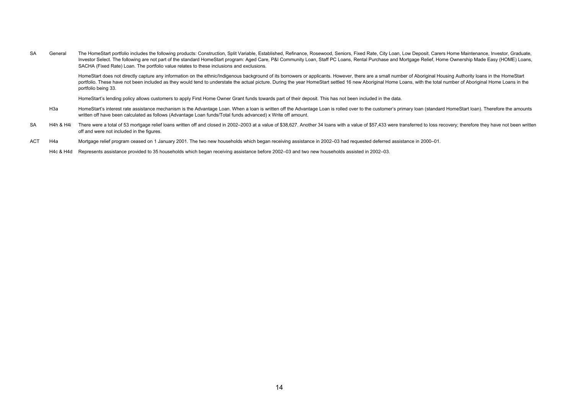SA General The HomeStart portfolio includes the following products: Construction, Split Variable, Established, Refinance, Rosewood, Seniors, Fixed Rate, City Loan, Low Deposit, Carers Home Maintenance, Investor, Graduate, Investor Select. The following are not part of the standard HomeStart program: Aged Care, P&I Community Loan, Staff PC Loans, Rental Purchase and Mortgage Relief, Home Ownership Made Easy (HOME) Loans, SACHA (Fixed Rate) Loan. The portfolio value relates to these inclusions and exclusions.

 HomeStart does not directly capture any information on the ethnic/Indigenous background of its borrowers or applicants. However, there are a small number of Aboriginal Housing Authority loans in the HomeStart portfolio. These have not been included as they would tend to understate the actual picture. During the year HomeStart settled 16 new Aboriginal Home Loans, with the total number of Aboriginal Home Loans in the portfolio being 33.

HomeStart's lending policy allows customers to apply First Home Owner Grant funds towards part of their deposit. This has not been included in the data.

- H3a HomeStart's interest rate assistance mechanism is the Advantage Loan. When a loan is written off the Advantage Loan is rolled over to the customer's primary loan (standard HomeStart loan). Therefore the amounts written off have been calculated as follows (Advantage Loan funds/Total funds advanced) x Write off amount.
- SA H4h & H4i There were a total of 53 mortgage relief loans written off and closed in 2002-2003 at a value of \$38,627. Another 34 loans with a value of \$57,433 were transferred to loss recovery; therefore they have not bee off and were not included in the figures.
- ACT H4a Mortgage relief program ceased on 1 January 2001. The two new households which began receiving assistance in 2002–03 had requested deferred assistance in 2000–01.

H4c & H4d Represents assistance provided to 35 households which began receiving assistance before 2002–03 and two new households assisted in 2002–03.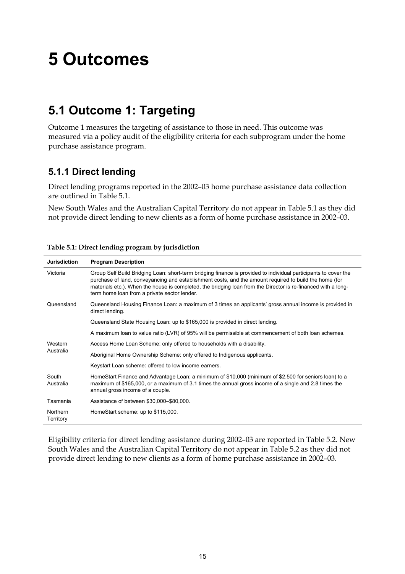# **5 Outcomes**

# **5.1 Outcome 1: Targeting**

Outcome 1 measures the targeting of assistance to those in need. This outcome was measured via a policy audit of the eligibility criteria for each subprogram under the home purchase assistance program.

## **5.1.1 Direct lending**

Direct lending programs reported in the 2002–03 home purchase assistance data collection are outlined in Table 5.1.

New South Wales and the Australian Capital Territory do not appear in Table 5.1 as they did not provide direct lending to new clients as a form of home purchase assistance in 2002–03.

| <b>Jurisdiction</b>   | <b>Program Description</b>                                                                                                                                                                                                                                                                                                                                                                 |
|-----------------------|--------------------------------------------------------------------------------------------------------------------------------------------------------------------------------------------------------------------------------------------------------------------------------------------------------------------------------------------------------------------------------------------|
| Victoria              | Group Self Build Bridging Loan: short-term bridging finance is provided to individual participants to cover the<br>purchase of land, conveyancing and establishment costs, and the amount required to build the home (for<br>materials etc.). When the house is completed, the bridging loan from the Director is re-financed with a long-<br>term home loan from a private sector lender. |
| Queensland            | Queensland Housing Finance Loan: a maximum of 3 times an applicants' gross annual income is provided in<br>direct lending.                                                                                                                                                                                                                                                                 |
|                       | Queensland State Housing Loan: up to \$165,000 is provided in direct lending.                                                                                                                                                                                                                                                                                                              |
|                       | A maximum loan to value ratio (LVR) of 95% will be permissible at commencement of both loan schemes.                                                                                                                                                                                                                                                                                       |
| Western               | Access Home Loan Scheme: only offered to households with a disability.                                                                                                                                                                                                                                                                                                                     |
| Australia             | Aboriginal Home Ownership Scheme: only offered to Indigenous applicants.                                                                                                                                                                                                                                                                                                                   |
|                       | Keystart Loan scheme: offered to low income earners.                                                                                                                                                                                                                                                                                                                                       |
| South<br>Australia    | HomeStart Finance and Advantage Loan: a minimum of \$10,000 (minimum of \$2,500 for seniors loan) to a<br>maximum of \$165,000, or a maximum of 3.1 times the annual gross income of a single and 2.8 times the<br>annual gross income of a couple.                                                                                                                                        |
| Tasmania              | Assistance of between \$30,000-\$80,000.                                                                                                                                                                                                                                                                                                                                                   |
| Northern<br>Territory | HomeStart scheme: up to \$115,000.                                                                                                                                                                                                                                                                                                                                                         |

**Table 5.1: Direct lending program by jurisdiction** 

Eligibility criteria for direct lending assistance during 2002–03 are reported in Table 5.2. New South Wales and the Australian Capital Territory do not appear in Table 5.2 as they did not provide direct lending to new clients as a form of home purchase assistance in 2002–03.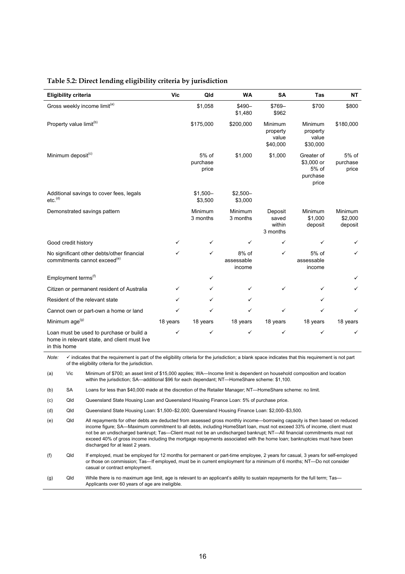#### **Table 5.2: Direct lending eligibility criteria by jurisdiction**

| <b>Eligibility criteria</b>                                                                              | Vic      | Qld                        | <b>WA</b>                     | <b>SA</b>                                | Tas                                                    | <b>NT</b>                     |
|----------------------------------------------------------------------------------------------------------|----------|----------------------------|-------------------------------|------------------------------------------|--------------------------------------------------------|-------------------------------|
| Gross weekly income limit <sup>(a)</sup>                                                                 |          | \$1,058                    | $$490-$<br>\$1,480            | \$769-<br>\$962                          | \$700                                                  | \$800                         |
| Property value limit <sup>(b)</sup>                                                                      |          | \$175,000                  | \$200,000                     | Minimum<br>property<br>value<br>\$40,000 | Minimum<br>property<br>value<br>\$30,000               | \$180,000                     |
| Minimum deposit <sup>(c)</sup>                                                                           |          | 5% of<br>purchase<br>price | \$1,000                       | \$1,000                                  | Greater of<br>\$3,000 or<br>5% of<br>purchase<br>price | 5% of<br>purchase<br>price    |
| Additional savings to cover fees, legals<br>etc. <sup>(d)</sup>                                          |          | $$1,500-$<br>\$3,500       | $$2,500-$<br>\$3,000          |                                          |                                                        |                               |
| Demonstrated savings pattern                                                                             |          | Minimum<br>3 months        | Minimum<br>3 months           | Deposit<br>saved<br>within<br>3 months   | Minimum<br>\$1,000<br>deposit                          | Minimum<br>\$2,000<br>deposit |
| Good credit history                                                                                      |          | ✓                          | ✓                             | ✓                                        | ✓                                                      |                               |
| No significant other debts/other financial<br>commitments cannot exceed <sup>(e)</sup>                   | ✓        | ✓                          | 8% of<br>assessable<br>income | ✓                                        | 5% of<br>assessable<br>income                          | ✓                             |
| Employment terms <sup>(f)</sup>                                                                          |          | ✓                          |                               |                                          |                                                        | ✓                             |
| Citizen or permanent resident of Australia                                                               | ✓        | ✓                          | ✓                             | ✓                                        | ✓                                                      | ✓                             |
| Resident of the relevant state                                                                           | ✓        | ✓                          | ✓                             |                                          | ✓                                                      |                               |
| Cannot own or part-own a home or land                                                                    | ✓        | $\checkmark$               | ✓                             | ✓                                        | ✓                                                      | ✓                             |
| Minimum age <sup>(g)</sup>                                                                               | 18 years | 18 years                   | 18 years                      | 18 years                                 | 18 years                                               | 18 years                      |
| Loan must be used to purchase or build a<br>home in relevant state, and client must live<br>in this home | ✓        | ✓                          | ✓                             | ✓                                        | ✓                                                      | ✓                             |

*Note:*  $\checkmark$  indicates that the requirement is part of the eligibility criteria for the jurisdiction; a blank space indicates that this requirement is not part of the eligibility criteria for the jurisdiction.

(a) Vic Minimum of \$700; an asset limit of \$15,000 applies; WA—Income limit is dependent on household composition and location within the jurisdiction; SA—additional \$96 for each dependant; NT—HomeShare scheme: \$1,100.

(b) SA Loans for less than \$40,000 made at the discretion of the Retailer Manager; NT—HomeShare scheme: no limit.

(c) Qld Queensland State Housing Loan and Queensland Housing Finance Loan: 5% of purchase price.

(d) Qld Queensland State Housing Loan: \$1,500–\$2,000; Queensland Housing Finance Loan: \$2,000–\$3,500.

(e) Qld All repayments for other debts are deducted from assessed gross monthly income—borrowing capacity is then based on reduced income figure; SA—Maximum commitment to all debts, including HomeStart loan, must not exceed 33% of income, client must not be an undischarged bankrupt; Tas—Client must not be an undischarged bankrupt; NT—All financial commitments must not exceed 40% of gross income including the mortgage repayments associated with the home loan; bankruptcies must have been discharged for at least 2 years.

(f) Qld If employed, must be employed for 12 months for permanent or part-time employee, 2 years for casual, 3 years for self-employed or those on commission; Tas—If employed, must be in current employment for a minimum of 6 months; NT—Do not consider casual or contract employment.

(g) Qld While there is no maximum age limit, age is relevant to an applicant's ability to sustain repayments for the full term; Tas— Applicants over 60 years of age are ineligible.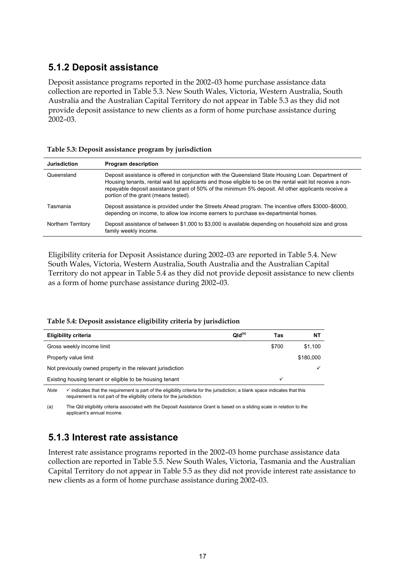## **5.1.2 Deposit assistance**

Deposit assistance programs reported in the 2002–03 home purchase assistance data collection are reported in Table 5.3. New South Wales, Victoria, Western Australia, South Australia and the Australian Capital Territory do not appear in Table 5.3 as they did not provide deposit assistance to new clients as a form of home purchase assistance during 2002–03.

| Table 5.3: Deposit assistance program by jurisdiction |  |  |
|-------------------------------------------------------|--|--|
|-------------------------------------------------------|--|--|

| <b>Jurisdiction</b> | <b>Program description</b>                                                                                                                                                                                                                                                                                                                                        |
|---------------------|-------------------------------------------------------------------------------------------------------------------------------------------------------------------------------------------------------------------------------------------------------------------------------------------------------------------------------------------------------------------|
| Queensland          | Deposit assistance is offered in conjunction with the Queensland State Housing Loan. Department of<br>Housing tenants, rental wait list applicants and those eligible to be on the rental wait list receive a non-<br>repayable deposit assistance grant of 50% of the minimum 5% deposit. All other applicants receive a<br>portion of the grant (means tested). |
| Tasmania            | Deposit assistance is provided under the Streets Ahead program. The incentive offers \$3000–\$6000,<br>depending on income, to allow low income earners to purchase ex-departmental homes.                                                                                                                                                                        |
| Northern Territory  | Deposit assistance of between \$1,000 to \$3,000 is available depending on household size and gross<br>family weekly income.                                                                                                                                                                                                                                      |

Eligibility criteria for Deposit Assistance during 2002–03 are reported in Table 5.4. New South Wales, Victoria, Western Australia, South Australia and the Australian Capital Territory do not appear in Table 5.4 as they did not provide deposit assistance to new clients as a form of home purchase assistance during 2002–03.

#### **Table 5.4: Deposit assistance eligibility criteria by jurisdiction**

| Eligibility criteria                                       | QId <sup>(a)</sup> | Tas   | ΝT        |
|------------------------------------------------------------|--------------------|-------|-----------|
| Gross weekly income limit                                  |                    | \$700 | \$1,100   |
| Property value limit                                       |                    |       | \$180,000 |
| Not previously owned property in the relevant jurisdiction |                    |       |           |
| Existing housing tenant or eligible to be housing tenant   |                    |       |           |

Note  $\checkmark$  indicates that the requirement is part of the eligibility criteria for the jurisdiction; a blank space indicates that this requirement is not part of the eligibility criteria for the jurisdiction.

(a) The Qld eligibility criteria associated with the Deposit Assistance Grant is based on a sliding scale in relation to the applicant's annual income.

## **5.1.3 Interest rate assistance**

Interest rate assistance programs reported in the 2002–03 home purchase assistance data collection are reported in Table 5.5. New South Wales, Victoria, Tasmania and the Australian Capital Territory do not appear in Table 5.5 as they did not provide interest rate assistance to new clients as a form of home purchase assistance during 2002–03.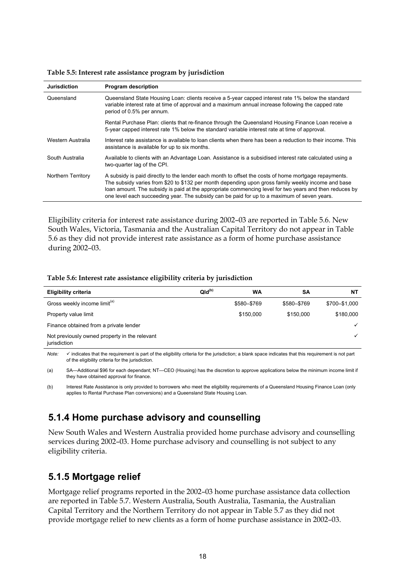**Jurisdiction Program description**  Queensland Queensland State Housing Loan: clients receive a 5-year capped interest rate 1% below the standard variable interest rate at time of approval and a maximum annual increase following the capped rate period of 0.5% per annum. Rental Purchase Plan: clients that re-finance through the Queensland Housing Finance Loan receive a 5-year capped interest rate 1% below the standard variable interest rate at time of approval. Western Australia Interest rate assistance is available to loan clients when there has been a reduction to their income. This assistance is available for up to six months. South Australia Available to clients with an Advantage Loan. Assistance is a subsidised interest rate calculated using a two-quarter lag of the CPI. Northern Territory A subsidy is paid directly to the lender each month to offset the costs of home mortgage repayments. The subsidy varies from \$20 to \$132 per month depending upon gross family weekly income and base loan amount. The subsidy is paid at the appropriate commencing level for two years and then reduces by one level each succeeding year. The subsidy can be paid for up to a maximum of seven years.

**Table 5.5: Interest rate assistance program by jurisdiction** 

Eligibility criteria for interest rate assistance during 2002–03 are reported in Table 5.6. New South Wales, Victoria, Tasmania and the Australian Capital Territory do not appear in Table 5.6 as they did not provide interest rate assistance as a form of home purchase assistance during 2002–03.

#### **Table 5.6: Interest rate assistance eligibility criteria by jurisdiction**

| <b>Eligibility criteria</b>                                   | QId <sup>(b)</sup> | WA          | SΑ          | NΤ            |
|---------------------------------------------------------------|--------------------|-------------|-------------|---------------|
| Gross weekly income limit <sup>(a)</sup>                      |                    | \$580-\$769 | \$580-\$769 | \$700-\$1,000 |
| Property value limit                                          |                    | \$150,000   | \$150,000   | \$180,000     |
| Finance obtained from a private lender                        |                    |             |             |               |
| Not previously owned property in the relevant<br>jurisdiction |                    |             |             |               |

*Note:* 9 indicates that the requirement is part of the eligibility criteria for the jurisdiction; a blank space indicates that this requirement is not part of the eligibility criteria for the jurisdiction.

(a) SA—Additional \$96 for each dependant; NT—CEO (Housing) has the discretion to approve applications below the minimum income limit if they have obtained approval for finance.

(b) Interest Rate Assistance is only provided to borrowers who meet the eligibility requirements of a Queensland Housing Finance Loan (only applies to Rental Purchase Plan conversions) and a Queensland State Housing Loan.

## **5.1.4 Home purchase advisory and counselling**

New South Wales and Western Australia provided home purchase advisory and counselling services during 2002–03. Home purchase advisory and counselling is not subject to any eligibility criteria.

## **5.1.5 Mortgage relief**

Mortgage relief programs reported in the 2002–03 home purchase assistance data collection are reported in Table 5.7. Western Australia, South Australia, Tasmania, the Australian Capital Territory and the Northern Territory do not appear in Table 5.7 as they did not provide mortgage relief to new clients as a form of home purchase assistance in 2002–03.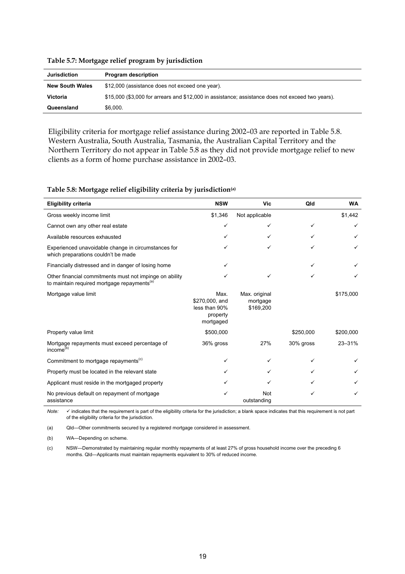| <b>Jurisdiction</b>    | <b>Program description</b>                                                                       |
|------------------------|--------------------------------------------------------------------------------------------------|
| <b>New South Wales</b> | \$12,000 (assistance does not exceed one year).                                                  |
| <b>Victoria</b>        | \$15,000 (\$3,000 for arrears and \$12,000 in assistance; assistance does not exceed two years). |
| Queensland             | \$6,000.                                                                                         |

**Table 5.7: Mortgage relief program by jurisdiction** 

Eligibility criteria for mortgage relief assistance during 2002–03 are reported in Table 5.8. Western Australia, South Australia, Tasmania, the Australian Capital Territory and the Northern Territory do not appear in Table 5.8 as they did not provide mortgage relief to new clients as a form of home purchase assistance in 2002–03.

#### **Table 5.8: Mortgage relief eligibility criteria by jurisdiction(a)**

| Eligibility criteria                                                                                               | <b>NSW</b>                                                       | Vic                                    | Qld       | <b>WA</b>    |
|--------------------------------------------------------------------------------------------------------------------|------------------------------------------------------------------|----------------------------------------|-----------|--------------|
| Gross weekly income limit                                                                                          | \$1,346                                                          | Not applicable                         |           | \$1,442      |
| Cannot own any other real estate                                                                                   | ✓                                                                | ✓                                      | ✓         | $\checkmark$ |
| Available resources exhausted                                                                                      | ✓                                                                | ✓                                      | ✓         | ✓            |
| Experienced unavoidable change in circumstances for<br>which preparations couldn't be made                         |                                                                  |                                        | ✓         | ✓            |
| Financially distressed and in danger of losing home                                                                |                                                                  |                                        |           |              |
| Other financial commitments must not impinge on ability<br>to maintain required mortgage repayments <sup>(a)</sup> |                                                                  |                                        |           |              |
| Mortgage value limit                                                                                               | Max.<br>\$270,000, and<br>less than 90%<br>property<br>mortgaged | Max. original<br>mortgage<br>\$169,200 |           | \$175,000    |
| Property value limit                                                                                               | \$500,000                                                        |                                        | \$250,000 | \$200,000    |
| Mortgage repayments must exceed percentage of<br>income <sup>(b)</sup>                                             | 36% gross                                                        | 27%                                    | 30% gross | $23 - 31%$   |
| Commitment to mortgage repayments <sup>(c)</sup>                                                                   | ✓                                                                | ✓                                      | ✓         |              |
| Property must be located in the relevant state                                                                     |                                                                  | ✓                                      | ✓         |              |
| Applicant must reside in the mortgaged property                                                                    |                                                                  | ✓                                      | ✓         |              |
| No previous default on repayment of mortgage<br>assistance                                                         | ✓                                                                | <b>Not</b><br>outstanding              | ✓         | ✓            |

*Note:* 9 indicates that the requirement is part of the eligibility criteria for the jurisdiction; a blank space indicates that this requirement is not part of the eligibility criteria for the jurisdiction.

(a) Qld—Other commitments secured by a registered mortgage considered in assessment.

(b) WA—Depending on scheme.

(c) NSW—Demonstrated by maintaining regular monthly repayments of at least 27% of gross household income over the preceding 6 months. Qld—Applicants must maintain repayments equivalent to 30% of reduced income.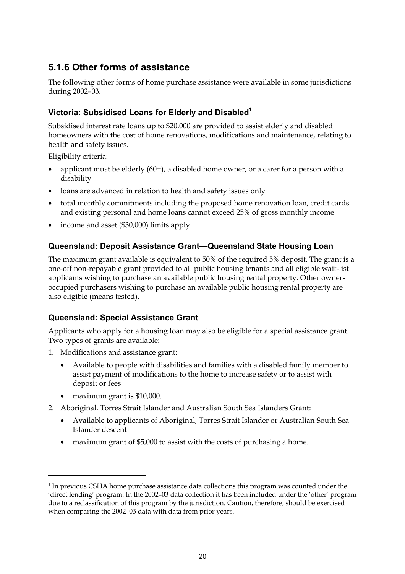## **5.1.6 Other forms of assistance**

The following other forms of home purchase assistance were available in some jurisdictions during 2002–03.

## **Victoria: Subsidised Loans for Elderly and Disabled1**

Subsidised interest rate loans up to \$20,000 are provided to assist elderly and disabled homeowners with the cost of home renovations, modifications and maintenance, relating to health and safety issues.

Eligibility criteria:

- applicant must be elderly  $(60+)$ , a disabled home owner, or a carer for a person with a disability
- loans are advanced in relation to health and safety issues only
- total monthly commitments including the proposed home renovation loan, credit cards and existing personal and home loans cannot exceed 25% of gross monthly income
- income and asset (\$30,000) limits apply.

## **Queensland: Deposit Assistance Grant—Queensland State Housing Loan**

The maximum grant available is equivalent to 50% of the required 5% deposit. The grant is a one-off non-repayable grant provided to all public housing tenants and all eligible wait-list applicants wishing to purchase an available public housing rental property. Other owneroccupied purchasers wishing to purchase an available public housing rental property are also eligible (means tested).

## **Queensland: Special Assistance Grant**

Applicants who apply for a housing loan may also be eligible for a special assistance grant. Two types of grants are available:

- 1. Modifications and assistance grant:
	- Available to people with disabilities and families with a disabled family member to assist payment of modifications to the home to increase safety or to assist with deposit or fees
	- maximum grant is \$10,000.

 $\overline{a}$ 

- 2. Aboriginal, Torres Strait Islander and Australian South Sea Islanders Grant:
	- Available to applicants of Aboriginal, Torres Strait Islander or Australian South Sea Islander descent
	- maximum grant of \$5,000 to assist with the costs of purchasing a home.

<sup>&</sup>lt;sup>1</sup> In previous CSHA home purchase assistance data collections this program was counted under the 'direct lending' program. In the 2002–03 data collection it has been included under the 'other' program due to a reclassification of this program by the jurisdiction. Caution, therefore, should be exercised when comparing the 2002–03 data with data from prior years.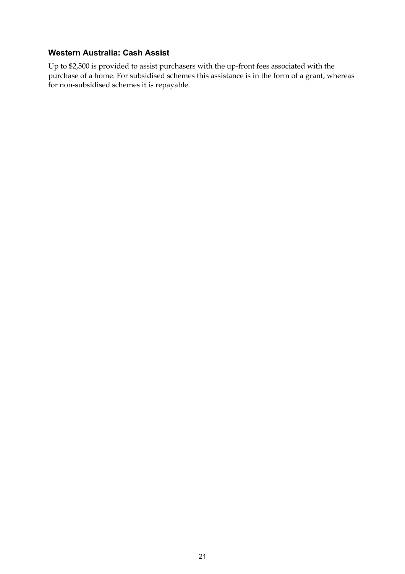### **Western Australia: Cash Assist**

Up to \$2,500 is provided to assist purchasers with the up-front fees associated with the purchase of a home. For subsidised schemes this assistance is in the form of a grant, whereas for non-subsidised schemes it is repayable.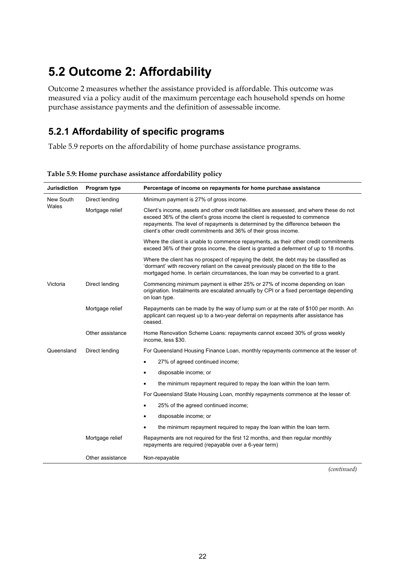# **5.2 Outcome 2: Affordability**

Outcome 2 measures whether the assistance provided is affordable. This outcome was measured via a policy audit of the maximum percentage each household spends on home purchase assistance payments and the definition of assessable income.

# **5.2.1 Affordability of specific programs**

Table 5.9 reports on the affordability of home purchase assistance programs.

| <b>Jurisdiction</b> | Program type     | Percentage of income on repayments for home purchase assistance                                                                                                                                                                                                                                                                 |  |  |  |  |  |
|---------------------|------------------|---------------------------------------------------------------------------------------------------------------------------------------------------------------------------------------------------------------------------------------------------------------------------------------------------------------------------------|--|--|--|--|--|
| New South           | Direct lending   | Minimum payment is 27% of gross income.                                                                                                                                                                                                                                                                                         |  |  |  |  |  |
| Wales               | Mortgage relief  | Client's income, assets and other credit liabilities are assessed, and where these do not<br>exceed 36% of the client's gross income the client is requested to commence<br>repayments. The level of repayments is determined by the difference between the<br>client's other credit commitments and 36% of their gross income. |  |  |  |  |  |
|                     |                  | Where the client is unable to commence repayments, as their other credit commitments<br>exceed 36% of their gross income, the client is granted a deferment of up to 18 months.                                                                                                                                                 |  |  |  |  |  |
|                     |                  | Where the client has no prospect of repaying the debt, the debt may be classified as<br>'dormant' with recovery reliant on the caveat previously placed on the title to the<br>mortgaged home. In certain circumstances, the loan may be converted to a grant.                                                                  |  |  |  |  |  |
| Victoria            | Direct lending   | Commencing minimum payment is either 25% or 27% of income depending on loan<br>origination. Instalments are escalated annually by CPI or a fixed percentage depending<br>on loan type.                                                                                                                                          |  |  |  |  |  |
|                     | Mortgage relief  | Repayments can be made by the way of lump sum or at the rate of \$100 per month. An<br>applicant can request up to a two-year deferral on repayments after assistance has<br>ceased.                                                                                                                                            |  |  |  |  |  |
|                     | Other assistance | Home Renovation Scheme Loans: repayments cannot exceed 30% of gross weekly<br>income, less \$30.                                                                                                                                                                                                                                |  |  |  |  |  |
| Queensland          | Direct lending   | For Queensland Housing Finance Loan, monthly repayments commence at the lesser of:                                                                                                                                                                                                                                              |  |  |  |  |  |
|                     |                  | 27% of agreed continued income;<br>$\bullet$                                                                                                                                                                                                                                                                                    |  |  |  |  |  |
|                     |                  | disposable income; or<br>$\bullet$                                                                                                                                                                                                                                                                                              |  |  |  |  |  |
|                     |                  | the minimum repayment required to repay the loan within the loan term.                                                                                                                                                                                                                                                          |  |  |  |  |  |
|                     |                  | For Queensland State Housing Loan, monthly repayments commence at the lesser of:                                                                                                                                                                                                                                                |  |  |  |  |  |
|                     |                  | 25% of the agreed continued income;                                                                                                                                                                                                                                                                                             |  |  |  |  |  |
|                     |                  | disposable income; or<br>٠                                                                                                                                                                                                                                                                                                      |  |  |  |  |  |
|                     |                  | the minimum repayment required to repay the loan within the loan term.                                                                                                                                                                                                                                                          |  |  |  |  |  |
|                     | Mortgage relief  | Repayments are not required for the first 12 months, and then regular monthly<br>repayments are required (repayable over a 6-year term)                                                                                                                                                                                         |  |  |  |  |  |
|                     | Other assistance | Non-repayable                                                                                                                                                                                                                                                                                                                   |  |  |  |  |  |

**Table 5.9: Home purchase assistance affordability policy**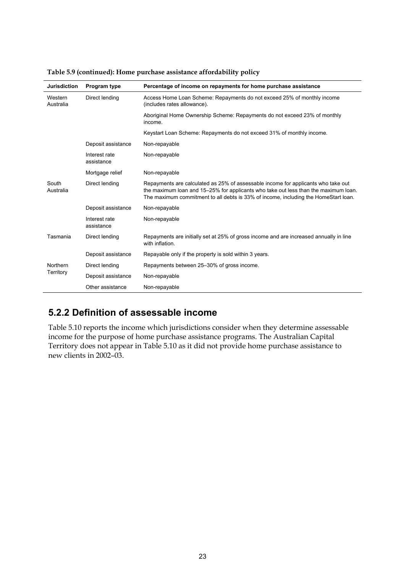| <b>Jurisdiction</b>  | <b>Program type</b>         | Percentage of income on repayments for home purchase assistance                                                                                                                                                                                                 |
|----------------------|-----------------------------|-----------------------------------------------------------------------------------------------------------------------------------------------------------------------------------------------------------------------------------------------------------------|
| Western<br>Australia | Direct lending              | Access Home Loan Scheme: Repayments do not exceed 25% of monthly income<br>(includes rates allowance).                                                                                                                                                          |
|                      |                             | Aboriginal Home Ownership Scheme: Repayments do not exceed 23% of monthly<br>income.                                                                                                                                                                            |
|                      |                             | Keystart Loan Scheme: Repayments do not exceed 31% of monthly income.                                                                                                                                                                                           |
|                      | Deposit assistance          | Non-repayable                                                                                                                                                                                                                                                   |
|                      | Interest rate<br>assistance | Non-repayable                                                                                                                                                                                                                                                   |
|                      | Mortgage relief             | Non-repayable                                                                                                                                                                                                                                                   |
| South<br>Australia   | Direct lending              | Repayments are calculated as 25% of assessable income for applicants who take out<br>the maximum loan and 15–25% for applicants who take out less than the maximum loan.<br>The maximum commitment to all debts is 33% of income, including the HomeStart loan. |
|                      | Deposit assistance          | Non-repayable                                                                                                                                                                                                                                                   |
|                      | Interest rate<br>assistance | Non-repayable                                                                                                                                                                                                                                                   |
| Tasmania             | Direct lending              | Repayments are initially set at 25% of gross income and are increased annually in line<br>with inflation.                                                                                                                                                       |
|                      | Deposit assistance          | Repayable only if the property is sold within 3 years.                                                                                                                                                                                                          |
| Northern             | Direct lending              | Repayments between 25-30% of gross income.                                                                                                                                                                                                                      |
| Territory            | Deposit assistance          | Non-repayable                                                                                                                                                                                                                                                   |
|                      | Other assistance            | Non-repayable                                                                                                                                                                                                                                                   |

#### **Table 5.9 (continued): Home purchase assistance affordability policy**

# **5.2.2 Definition of assessable income**

Table 5.10 reports the income which jurisdictions consider when they determine assessable income for the purpose of home purchase assistance programs. The Australian Capital Territory does not appear in Table 5.10 as it did not provide home purchase assistance to new clients in 2002–03.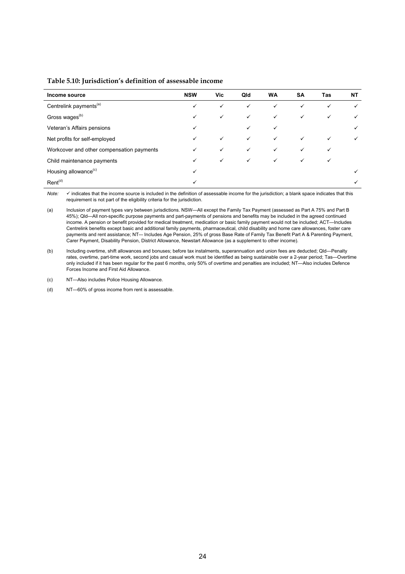| Income source                             | <b>NSW</b> | Vic.         | Qld          | <b>WA</b>    | <b>SA</b>    | Tas | NT |
|-------------------------------------------|------------|--------------|--------------|--------------|--------------|-----|----|
| Centrelink payments <sup>(a)</sup>        | ✓          | ✓            | $\checkmark$ | ✓            | ✓            | ✓   |    |
| Gross wages <sup>(b)</sup>                | ✓          | ✓            | ✓            | ✓            | $\checkmark$ | ✓   |    |
| Veteran's Affairs pensions                | ✓          |              | ✓            | ✓            |              |     |    |
| Net profits for self-employed             | ✓          | ✓            | ✓            | $\checkmark$ | ✓            |     |    |
| Workcover and other compensation payments | ✓          | ✓            | $\checkmark$ | $\checkmark$ | ✓            |     |    |
| Child maintenance payments                | ✓          | $\checkmark$ | $\checkmark$ | $\checkmark$ | $\checkmark$ |     |    |
| Housing allowance <sup>(c)</sup>          | ✓          |              |              |              |              |     |    |
| $Rent^{(d)}$                              |            |              |              |              |              |     |    |

#### **Table 5.10: Jurisdiction's definition of assessable income**

Note:  $\checkmark$  indicates that the income source is included in the definition of assessable income for the jurisdiction; a blank space indicates that this requirement is not part of the eligibility criteria for the jurisdiction.

(a) Inclusion of payment types vary between jurisdictions. NSW—All except the Family Tax Payment (assessed as Part A 75% and Part B 45%); Qld—All non-specific purpose payments and part-payments of pensions and benefits may be included in the agreed continued income. A pension or benefit provided for medical treatment, medication or basic family payment would not be included; ACT—Includes Centrelink benefits except basic and additional family payments, pharmaceutical, child disability and home care allowances, foster care payments and rent assistance; NT–- Includes Age Pension, 25% of gross Base Rate of Family Tax Benefit Part A & Parenting Payment, Carer Payment, Disability Pension, District Allowance, Newstart Allowance (as a supplement to other income).

(b) Including overtime, shift allowances and bonuses; before tax instalments, superannuation and union fees are deducted; Qld—Penalty rates, overtime, part-time work, second jobs and casual work must be identified as being sustainable over a 2-year period; Tas—Overtime only included if it has been regular for the past 6 months, only 50% of overtime and penalties are included; NT—Also includes Defence Forces Income and First Aid Allowance.

(c) NT—Also includes Police Housing Allowance.

(d) NT—60% of gross income from rent is assessable.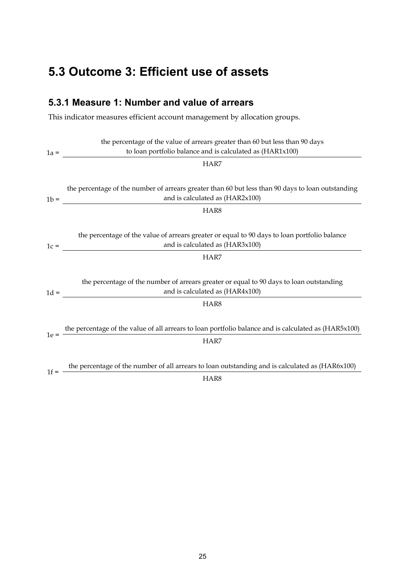# **5.3 Outcome 3: Efficient use of assets**

## **5.3.1 Measure 1: Number and value of arrears**

This indicator measures efficient account management by allocation groups.

|        | the percentage of the value of arrears greater than 60 but less than 90 days                                                |
|--------|-----------------------------------------------------------------------------------------------------------------------------|
|        | to loan portfolio balance and is calculated as (HAR1x100)<br>$1a =$                                                         |
|        | HAR7                                                                                                                        |
|        |                                                                                                                             |
|        | the percentage of the number of arrears greater than 60 but less than 90 days to loan outstanding                           |
| $1b =$ | and is calculated as (HAR2x100)<br><u> 1989 - Johann Barbara, martin a</u>                                                  |
|        | HAR8                                                                                                                        |
|        |                                                                                                                             |
|        | the percentage of the value of arrears greater or equal to 90 days to loan portfolio balance                                |
|        | and is calculated as (HAR3x100)<br>$1c = \begin{array}{c} \hline \end{array}$                                               |
|        | HAR7                                                                                                                        |
|        |                                                                                                                             |
|        | the percentage of the number of arrears greater or equal to 90 days to loan outstanding                                     |
|        | and is calculated as (HAR4x100)<br>$1d =$                                                                                   |
|        | HAR8                                                                                                                        |
|        |                                                                                                                             |
|        | 1e = $\frac{\text{the percentage of the value of all arrears to loan portfolio balance and is calculated as (HAR5x100)}{2}$ |
|        | HAR7                                                                                                                        |
|        |                                                                                                                             |
|        | the percentage of the number of all arrears to loan outstanding and is calculated as (HAR6x100)                             |
| $1f =$ | HAR8                                                                                                                        |
|        |                                                                                                                             |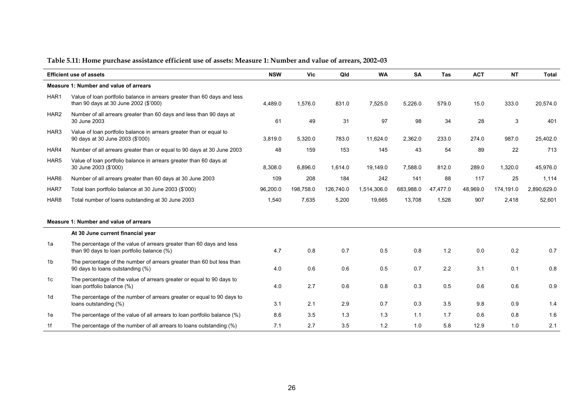|                                        | <b>Efficient use of assets</b>                                                                                     | <b>NSW</b> | Vic       | Qld       | <b>WA</b>   | <b>SA</b> | <b>Tas</b> | <b>ACT</b> | <b>NT</b> | <b>Total</b> |
|----------------------------------------|--------------------------------------------------------------------------------------------------------------------|------------|-----------|-----------|-------------|-----------|------------|------------|-----------|--------------|
| Measure 1: Number and value of arrears |                                                                                                                    |            |           |           |             |           |            |            |           |              |
| HAR1                                   | Value of loan portfolio balance in arrears greater than 60 days and less<br>than 90 days at 30 June 2002 (\$'000)  | 4,489.0    | 1,576.0   | 831.0     | 7,525.0     | 5,226.0   | 579.0      | 15.0       | 333.0     | 20,574.0     |
| HAR <sub>2</sub>                       | Number of all arrears greater than 60 days and less than 90 days at<br>30 June 2003                                | 61         | 49        | 31        | 97          | 98        | 34         | 28         | 3         | 401          |
| HAR3                                   | Value of loan portfolio balance in arrears greater than or equal to<br>90 days at 30 June 2003 (\$'000)            | 3,819.0    | 5,320.0   | 783.0     | 11,624.0    | 2,362.0   | 233.0      | 274.0      | 987.0     | 25,402.0     |
| HAR4                                   | Number of all arrears greater than or equal to 90 days at 30 June 2003                                             | 48         | 159       | 153       | 145         | 43        | 54         | 89         | 22        | 713          |
| HAR5                                   | Value of loan portfolio balance in arrears greater than 60 days at<br>30 June 2003 (\$'000)                        | 8,308.0    | 6.896.0   | 1,614.0   | 19.149.0    | 7,588.0   | 812.0      | 289.0      | 1,320.0   | 45,976.0     |
| HAR <sub>6</sub>                       | Number of all arrears greater than 60 days at 30 June 2003                                                         | 109        | 208       | 184       | 242         | 141       | 88         | 117        | 25        | 1,114        |
| HAR7                                   | Total loan portfolio balance at 30 June 2003 (\$'000)                                                              | 96,200.0   | 198,758.0 | 126,740.0 | 1,514,306.0 | 683,988.0 | 47,477.0   | 48,969.0   | 174,191.0 | 2,890,629.0  |
| HAR <sub>8</sub>                       | Total number of loans outstanding at 30 June 2003                                                                  | 1,540      | 7,635     | 5,200     | 19,665      | 13,708    | 1,528      | 907        | 2,418     | 52,601       |
|                                        | Measure 1: Number and value of arrears                                                                             |            |           |           |             |           |            |            |           |              |
|                                        | At 30 June current financial year                                                                                  |            |           |           |             |           |            |            |           |              |
| 1a                                     | The percentage of the value of arrears greater than 60 days and less<br>than 90 days to loan portfolio balance (%) | 4.7        | 0.8       | 0.7       | 0.5         | 0.8       | 1.2        | 0.0        | 0.2       | 0.7          |
| 1b                                     | The percentage of the number of arrears greater than 60 but less than<br>90 days to loans outstanding (%)          | 4.0        | 0.6       | 0.6       | 0.5         | 0.7       | 2.2        | 3.1        | 0.1       | 0.8          |
| 1 <sub>c</sub>                         | The percentage of the value of arrears greater or equal to 90 days to<br>loan portfolio balance (%)                | 4.0        | 2.7       | 0.6       | 0.8         | 0.3       | 0.5        | 0.6        | 0.6       | 0.9          |
| 1d                                     | The percentage of the number of arrears greater or equal to 90 days to<br>loans outstanding (%)                    | 3.1        | 2.1       | 2.9       | 0.7         | 0.3       | 3.5        | 9.8        | 0.9       | 1.4          |
| 1e                                     | The percentage of the value of all arrears to loan portfolio balance (%)                                           | 8.6        | 3.5       | 1.3       | 1.3         | 1.1       | 1.7        | 0.6        | 0.8       | 1.6          |
| 1f                                     | The percentage of the number of all arrears to loans outstanding (%)                                               | 7.1        | 2.7       | 3.5       | 1.2         | 1.0       | 5.8        | 12.9       | 1.0       | 2.1          |

### **Table 5.11: Home purchase assistance efficient use of assets: Measure 1: Number and value of arrears, 2002–03**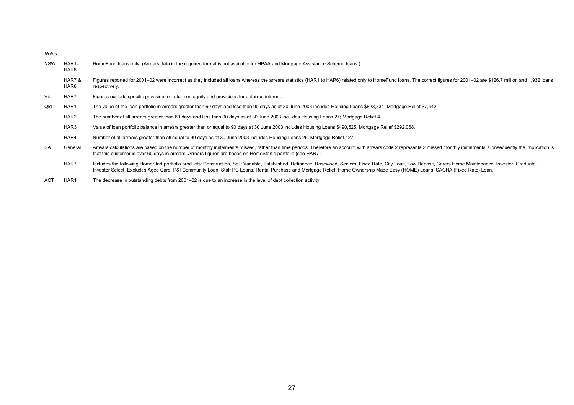*Notes* 

| <b>NSW</b> | HAR1-<br>HAR <sub>8</sub> | HomeFund loans only. (Arrears data in the required format is not available for HPAA and Mortgage Assistance Scheme loans.)                                                                                                                                                                                                                                                                      |
|------------|---------------------------|-------------------------------------------------------------------------------------------------------------------------------------------------------------------------------------------------------------------------------------------------------------------------------------------------------------------------------------------------------------------------------------------------|
|            | HAR7&<br>HAR <sub>8</sub> | Figures reported for 2001-02 were incorrect as they included all loans whereas the arrears statistics (HAR1 to HAR6) related only to HomeFund loans. The correct figures for 2001-02 are \$126.7 million and 1,932 loans<br>respectively.                                                                                                                                                       |
| Vic        | HAR7                      | Figures exclude specific provision for return on equity and provisions for deferred interest.                                                                                                                                                                                                                                                                                                   |
| Qld        | HAR1                      | The value of the loan portfolio in arrears greater than 60 days and less than 90 days as at 30 June 2003 incudes Housing Loans \$823,331; Mortgage Relief \$7,642.                                                                                                                                                                                                                              |
|            | HAR <sub>2</sub>          | The number of all arrears greater than 60 days and less than 90 days as at 30 June 2003 includes Housing Loans 27; Mortgage Relief 4.                                                                                                                                                                                                                                                           |
|            | HAR3                      | Value of loan portfolio balance in arrears greater than or equal to 90 days at 30 June 2003 includes Housing Loans \$490,525; Mortgage Relief \$292,068.                                                                                                                                                                                                                                        |
|            | HAR4                      | Number of all arrears greater than all equal to 90 days as at 30 June 2003 includes Housing Loans 26; Mortgage Relief 127.                                                                                                                                                                                                                                                                      |
| SA         | General                   | Arrears calculations are based on the number of monthly instalments missed, rather than time periods. Therefore an account with arrears code 2 represents 2 missed monthly instalments. Consequently the implication is<br>that this customer is over 60 days in arrears. Arrears figures are based on HomeStart's portfolio (see HAR7).                                                        |
|            | HAR7                      | Includes the following HomeStart portfolio products: Construction, Split Variable, Established, Refinance, Rosewood, Seniors, Fixed Rate, City Loan, Low Deposit, Carers Home Maintenance, Investor, Graduate,<br>Investor Select. Excludes Aged Care, P&I Community Loan, Staff PC Loans, Rental Purchase and Mortgage Relief, Home Ownership Made Easy (HOME) Loans, SACHA (Fixed Rate) Loan. |

ACT HAR1 The decrease in outstanding debts from 2001–02 is due to an increase in the level of debt collection activity.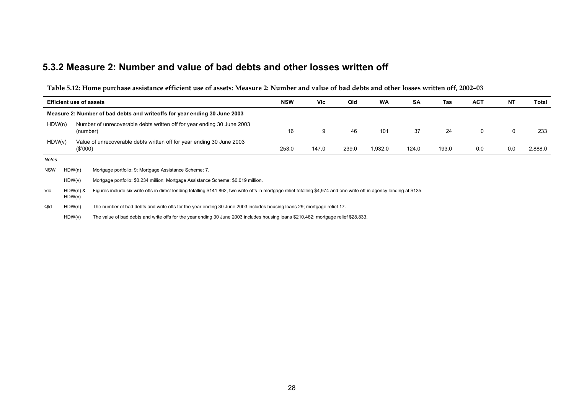#### **5.3.2 Measure 2: Number and value of bad debts and other losses written off**

**Table 5.12: Home purchase assistance efficient use of assets: Measure 2: Number and value of bad debts and other losses written off, 2002–03** 

| <b>Efficient use of assets</b>                                                              |                      |                                                                                                                                                                         | <b>NSW</b> | Vic   | Qld   | <b>WA</b> | <b>SA</b> | Tas   | <b>ACT</b> | NT  | Total   |
|---------------------------------------------------------------------------------------------|----------------------|-------------------------------------------------------------------------------------------------------------------------------------------------------------------------|------------|-------|-------|-----------|-----------|-------|------------|-----|---------|
|                                                                                             |                      | Measure 2: Number of bad debts and writeoffs for year ending 30 June 2003                                                                                               |            |       |       |           |           |       |            |     |         |
| HDW(n)                                                                                      |                      | Number of unrecoverable debts written off for year ending 30 June 2003<br>(number)                                                                                      | 16         | 9     | 46    | 101       | 37        | 24    | 0          | 0   | 233     |
| HDW(v)                                                                                      | (\$'000)             | Value of unrecoverable debts written off for year ending 30 June 2003                                                                                                   | 253.0      | 147.0 | 239.0 | 1,932.0   | 124.0     | 193.0 | 0.0        | 0.0 | 2,888.0 |
| Notes                                                                                       |                      |                                                                                                                                                                         |            |       |       |           |           |       |            |     |         |
| <b>NSW</b>                                                                                  | HDW(n)               | Mortgage portfolio: 9; Mortgage Assistance Scheme: 7.                                                                                                                   |            |       |       |           |           |       |            |     |         |
| HDW(v)<br>Mortgage portfolio: \$0.234 million; Mortgage Assistance Scheme: \$0.019 million. |                      |                                                                                                                                                                         |            |       |       |           |           |       |            |     |         |
| Vic                                                                                         | $HDW(n)$ &<br>HDW(v) | Figures include six write offs in direct lending totalling \$141,862, two write offs in mortgage relief totalling \$4,974 and one write off in agency lending at \$135. |            |       |       |           |           |       |            |     |         |
| Qld                                                                                         | HDW(n)               | The number of bad debts and write offs for the year ending 30 June 2003 includes housing loans 29; mortgage relief 17.                                                  |            |       |       |           |           |       |            |     |         |
|                                                                                             | HDW(v)               | The value of bad debts and write offs for the year ending 30 June 2003 includes housing loans \$210,482; mortgage relief \$28,833.                                      |            |       |       |           |           |       |            |     |         |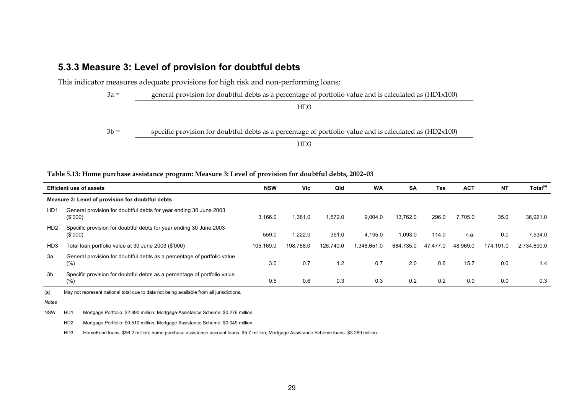#### **5.3.3 Measure 3: Level of provision for doubtful debts**

This indicator measures adequate provisions for high risk and non-performing loans;

3a = general provision for doubtful debts as a percentage of portfolio value and is calculated as (HD1x100)

 HD3 HD<sub>3</sub>

3b = specific provision for doubtful debts as a percentage of portfolio value and is calculated as (HD2x100)

 HD3  $HD3$ 

#### **Table 5.13: Home purchase assistance program: Measure 3: Level of provision for doubtful debts, 2002–03**

| <b>Efficient use of assets</b>                   |                                                                                     |           | Vic       | Qld       | <b>WA</b>   | <b>SA</b> | <b>Tas</b> | <b>ACT</b> | <b>NT</b> | Total <sup>(a)</sup> |
|--------------------------------------------------|-------------------------------------------------------------------------------------|-----------|-----------|-----------|-------------|-----------|------------|------------|-----------|----------------------|
| Measure 3: Level of provision for doubtful debts |                                                                                     |           |           |           |             |           |            |            |           |                      |
| H <sub>D</sub> 1                                 | General provision for doubtful debts for year ending 30 June 2003<br>(S'000)        | 3,166.0   | 1.381.0   | 1,572.0   | 9.004.0     | 13.762.0  | 296.0      | 7.705.0    | 35.0      | 36.921.0             |
| HD <sub>2</sub>                                  | Specific provision for doubtful debts for year ending 30 June 2003<br>(S'000)       | 559.0     | 1.222.0   | 351.0     | 4.195.0     | 1.093.0   | 114.0      | n.a.       | 0.0       | 7,534.0              |
| HD <sub>3</sub>                                  | Total loan portfolio value at 30 June 2003 (\$'000)                                 | 105.169.0 | 198.758.0 | 126,740.0 | 1,348,651.0 | 684,735.0 | 47,477.0   | 48,969.0   | 174,191.0 | 2.734.690.0          |
| За                                               | General provision for doubtful debts as a percentage of portfolio value<br>(% )     | 3.0       | 0.7       | 1.2       | 0.7         | 2.0       | 0.6        | 15.7       | 0.0       | 1.4                  |
| 3b                                               | Specific provision for doubtful debts as a percentage of portfolio value<br>$(\% )$ | 0.5       | 0.6       | 0.3       | 0.3         | 0.2       | 0.2        | 0.0        | 0.0       | 0.3                  |

(a) May not represent national total due to data not being available from all jurisdictions*.*

*Notes* 

NSW HD1 Mortgage Portfolio: \$2.890 million; Mortgage Assistance Scheme: \$0.276 million.

HD2 Mortgage Portfolio: \$0.510 million; Mortgage Assistance Scheme: \$0.049 million.

HD3 HomeFund loans: \$96.2 million; home purchase assistance account loans: \$5.7 million; Mortgage Assistance Scheme loans: \$3.269 million.